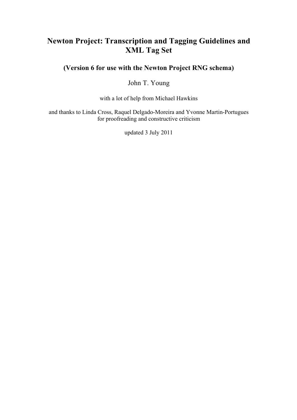# **Newton Project: Transcription and Tagging Guidelines and XML Tag Set**

**(Version 6 for use with the Newton Project RNG schema)**

John T. Young

with a lot of help from Michael Hawkins

and thanks to Linda Cross, Raquel Delgado-Moreira and Yvonne Martin-Portugues for proofreading and constructive criticism

updated 3 July 2011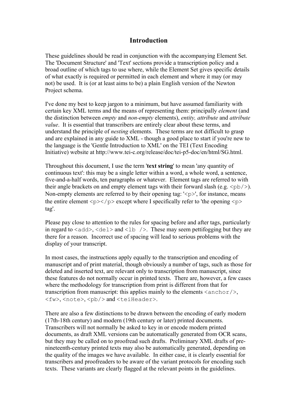## **Introduction**

These guidelines should be read in conjunction with the accompanying Element Set. The 'Document Structure' and 'Text' sections provide a transcription policy and a broad outline of which tags to use where, while the Element Set gives specific details of what exactly is required or permitted in each element and where it may (or may not) be used. It is (or at least aims to be) a plain English version of the Newton Project schema.

I've done my best to keep jargon to a minimum, but have assumed familiarity with certain key XML terms and the means of representing them: principally *element* (and the distinction between *empty* and *non-empty* elements), *entity, attribute* and *attribute value*. It is essential that transcribers are entirely clear about these terms, and understand the principle of *nesting* elements. These terms are not difficult to grasp and are explained in any guide to XML - though a good place to start if you're new to the language is the 'Gentle Introduction to XML' on the TEI (Text Encoding Initiative) website at http://www.tei-c.org/release/doc/tei-p5-doc/en/html/SG.html.

Throughout this document, I use the term '**text string**' to mean 'any quantity of continuous text': this may be a single letter within a word, a whole word, a sentence, five-and-a-half words, ten paragraphs or whatever. Element tags are referred to with their angle brackets on and empty element tags with their forward slash (e.g.  $\langle pb \rangle$ ). Non-empty elements are referred to by their opening tag:  $\langle \rangle$  to instance, means the entire element  $\langle p \rangle \langle p \rangle$  except where I specifically refer to 'the opening  $\langle p \rangle$ tag'.

Please pay close to attention to the rules for spacing before and after tags, particularly in regard to  $\langle \text{add}\rangle$ ,  $\langle \text{del}\rangle$  and  $\langle \text{lb}\rangle$ . These may seem pettifogging but they are there for a reason. Incorrect use of spacing will lead to serious problems with the display of your transcript.

In most cases, the instructions apply equally to the transcription and encoding of manuscript and of print material, though obviously a number of tags, such as those for deleted and inserted text, are relevant only to transcription from manuscript, since these features do not normally occur in printed texts. There are, however, a few cases where the methodology for transcription from print is different from that for transcription from manuscript: this applies mainly to the elements  $\langle$  anchor $\rangle$ , <fw>, <note>, <pb/> and <teiHeader>.

There are also a few distinctions to be drawn between the encoding of early modern (17th-18th century) and modern (19th century or later) printed documents. Transcribers will not normally be asked to key in or encode modern printed documents, as draft XML versions can be automatically generated from OCR scans, but they may be called on to proofread such drafts. Preliminary XML drafts of prenineteenth-century printed texts may also be automatically generated, depending on the quality of the images we have available. In either case, it is clearly essential for transcribers and proofreaders to be aware of the variant protocols for encoding such texts. These variants are clearly flagged at the relevant points in the guidelines.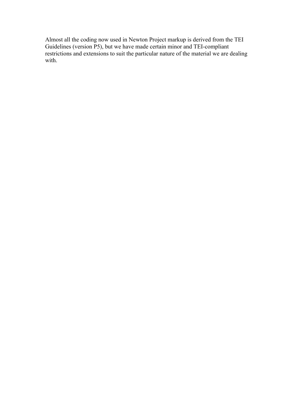Almost all the coding now used in Newton Project markup is derived from the TEI Guidelines (version P5), but we have made certain minor and TEI-compliant restrictions and extensions to suit the particular nature of the material we are dealing with.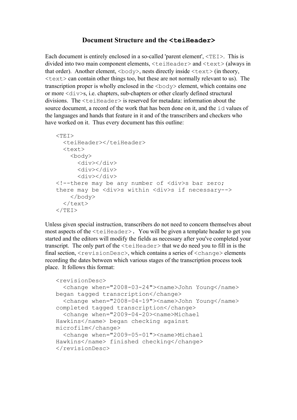## **Document Structure and the <teiHeader>**

Each document is entirely enclosed in a so-called 'parent element',  $\langle TEI \rangle$ . This is divided into two main component elements, <teiHeader> and <text> (always in that order). Another element,  $\langle \text{body} \rangle$ , nests directly inside  $\langle \text{text} \rangle$  (in theory,  $\langle \text{text} \rangle$  can contain other things too, but these are not normally relevant to us). The transcription proper is wholly enclosed in the  $\langle \text{body}\rangle$  element, which contains one or more <div>s, i.e. chapters, sub-chapters or other clearly defined structural divisions. The  $\le$ teiHeader $>$  is reserved for metadata: information about the source document, a record of the work that has been done on it, and the id values of the languages and hands that feature in it and of the transcribers and checkers who have worked on it. Thus every document has this outline:

```
<TEI> <teiHeader></teiHeader>
   <text>
     <body>
       <div></div>
       <div></div>
       <div></div>
<!--there may be any number of <div>s bar zero; 
there may be <div>s within <div>s if necessary-->
     </body>
  \langle/text>
\langle/TEI>
```
Unless given special instruction, transcribers do not need to concern themselves about most aspects of the  $\le$ teiHeader>. You will be given a template header to get you started and the editors will modify the fields as necessary after you've completed your transcript. The only part of the  $\leq$  tei Header  $>$  that we do need you to fill in is the final section, <revisionDesc>, which contains a series of <change> elements recording the dates between which various stages of the transcription process took place. It follows this format:

```
<revisionDesc>
   <change when="2008-03-24"><name>John Young</name> 
began tagged transcription</change>
   <change when="2008-04-19"><name>John Young</name> 
completed tagged transcription</change>
   <change when="2009-04-20><name>Michael 
Hawkins</name> began checking against 
microfilm</change>
   <change when="2009-05-01"><name>Michael 
Hawkins</name> finished checking</change>
</revisionDesc>
```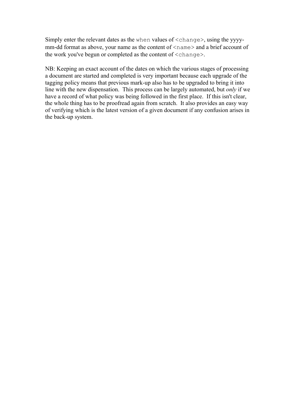Simply enter the relevant dates as the when values of <change>, using the yyyymm-dd format as above, your name as the content of  $\langle$ name $\rangle$  and a brief account of the work you've begun or completed as the content of <change>.

NB: Keeping an exact account of the dates on which the various stages of processing a document are started and completed is very important because each upgrade of the tagging policy means that previous mark-up also has to be upgraded to bring it into line with the new dispensation. This process can be largely automated, but *only* if we have a record of what policy was being followed in the first place. If this isn't clear, the whole thing has to be proofread again from scratch. It also provides an easy way of verifying which is the latest version of a given document if any confusion arises in the back-up system.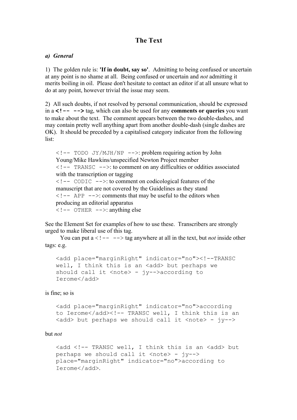## **The Text**

## *a) General*

1) The golden rule is: **'If in doubt, say so'**. Admitting to being confused or uncertain at any point is no shame at all. Being confused or uncertain and *not* admitting it merits boiling in oil. Please don't hesitate to contact an editor if at all unsure what to do at any point, however trivial the issue may seem.

2) All such doubts, if not resolved by personal communication, should be expressed in a **<!-- -->** tag, which can also be used for any **comments or queries** you want to make about the text. The comment appears between the two double-dashes, and may contain pretty well anything apart from another double-dash (single dashes are OK). It should be preceded by a capitalised category indicator from the following list:

```
\langle ! -- TODO JY/MJH/NP -->: problem requiring action by John
Young/Mike Hawkins/unspecified Newton Project member
\langle ! -- TRANSC -->: to comment on any difficulties or oddities associated
with the transcription or tagging
\langle ! -- CODIC -->: to comment on codicological features of the
manuscript that are not covered by the Guidelines as they stand
\leq ! -- APP -->: comments that may be useful to the editors when
producing an editorial apparatus
\langle ! -- OTHER -->: anything else
```
See the Element Set for examples of how to use these. Transcribers are strongly urged to make liberal use of this tag.

You can put  $a < 1 - - \rightarrow \text{tag}$  anywhere at all in the text, but *not* inside other tags: e.g.

```
<add place="marginRight" indicator="no"><!--TRANSC 
well, I think this is an <add> but perhaps we
should call it \langle \text{note} \rangle - \gamma y \rightarrow \lambda \text{according to}Ierome</add>
```
## is fine; so is

```
<add place="marginRight" indicator="no">according 
to Ierome</add><!-- TRANSC well, I think this is an
\langle \text{add} \rangle but perhaps we should call it \langle \text{note} \rangle - \langle \text{y--}\rangle
```
#### but *not*

```
<add <!-- TRANSC well, I think this is an <add> but 
perhaps we should call it \langle \text{note} \rangle - jy-->
place="marginRight" indicator="no">according to 
Ierome</add>.
```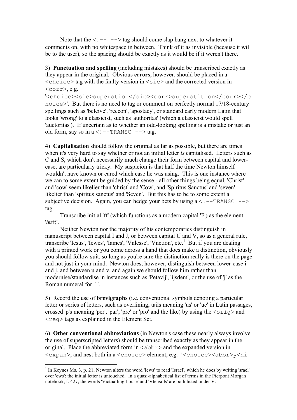Note that the  $\langle$ !-- --> tag should come slap bang next to whatever it comments on, with no whitespace in between. Think of it as invisible (because it will be to the user), so the spacing should be exactly as it would be if it weren't there.

3) **Punctuation and spelling** (including mistakes) should be transcribed exactly as they appear in the original. Obvious **errors**, however, should be placed in a  $\langle$ choice> tag with the faulty version in  $\langle$ sic> and the corrected version in <corr>, e.g.

'<choice><sic>superstion</sic><corr>superstition</corr></c hoice>'. But there is no need to tag or comment on perfectly normal 17/18-century spellings such as 'beleive', 'reccon', 'apostacy', or standard early modern Latin that looks 'wrong' to a classicist, such as 'authoritas' (which a classicist would spell 'auctoritas'). If uncertain as to whether an odd-looking spelling is a mistake or just an old form, say so in  $a < 1 - \text{TRANSC}$   $\rightarrow$  tag.

4) **Capitalisation** should follow the original as far as possible, but there are times when it's very hard to say whether or not an initial letter *is* capitalised. Letters such as C and S, which don't necessarily much change their form between capital and lowercase, are particularly tricky. My suspicion is that half the time Newton himself wouldn't have known or cared which case he was using. This is one instance where we can to some extent be guided by the sense - all other things being equal, 'Christ' and 'cow' seem likelier than 'christ' and 'Cow', and 'Spiritus Sanctus' and 'seven' likelier than 'spiritus sanctus' and 'Seven'. But this has to be to some extent a subjective decision. Again, you can hedge your bets by using  $a < 1 - \text{TRANSC}$  --> tag.

 Transcribe initial 'ff' (which functions as a modern capital 'F') as the element '&ff;'.

 Neither Newton nor the majority of his contemporaries distinguish in manuscript between capital I and J, or between capital U and V, so as a general rule, transcribe 'Iesus', 'Iewes', 'Iames', 'Vnlesse', 'Vnction', etc.<sup>1</sup> But if you are dealing with a printed work or you come across a hand that does make a distinction, obviously you should follow suit, so long as you're sure the distinction really is there on the page and not just in your mind. Newton does, however, distinguish between lower-case i and j, and between u and v, and again we should follow him rather than modernise/standardise in instances such as 'Petavij', 'ijsdem', or the use of 'j' as the Roman numeral for '1'.

5) Record the use of **brevigraphs** (i.e. conventional symbols denoting a particular letter or series of letters, such as overlining, tails meaning 'us' or 'ue' in Latin passages, crossed 'p's meaning 'per', 'par', 'pre' or 'pro' and the like) by using the  $\langle \text{orig} \rangle$  and  $\langle$ reg> tags as explained in the Element Set.

6) **Other conventional abbreviations** (in Newton's case these nearly always involve the use of superscripted letters) should be transcribed exactly as they appear in the original. Place the abbreviated form in  $\langle \text{abbr} \rangle$  and the expanded version in <expan>, and nest both in a <choice> element, e.g. '<choice><abbr>y<hi

 $1$  In Keynes Ms. 3, p. 21, Newton alters the word 'Iews' to read 'Israel', which he does by writing 'srael' over 'ews': the initial letter is untouched. In a quasi-alphabetical list of terms in the Pierpont Morgan notebook, f. 42v, the words 'Victualling-house' and 'Vtensills' are both listed under V.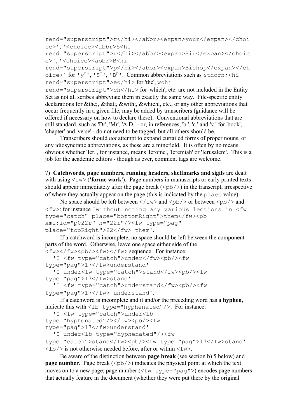rend="superscript">r</hi></abbr><expan>your</expan></choi ce>', '<choice><abbr>S<hi

rend="superscript">r</hi></abbr><expan>Sir</expan></choic e>', '<choice><abbr>B<hi

rend="superscript">p</hi></abbr><expan>Bishop</expan></ch oice>' for 'y<sup>r</sup>', 'S<sup>r</sup>', 'B<sup>p</sup>'. Common abbreviations such as &thorn; <hi rend="superscript">e</hi> for 'the', w<hi

rend="superscript">ch</hi> for 'which', etc. are not included in the Entity Set as not all scribes abbreviate them in exactly the same way. File-specific entity declarations for &the;, &that;, &with;, &which;, etc., or any other abbreviations that occur frequently in a given file, may be added by transcribers (guidance will be offered if necessary on how to declare these). Conventional abbreviations that are still standard, such as 'Dr', 'Mr', 'A.D.' - or, in references, 'b.', 'c.' and 'v.' for 'book', 'chapter' and 'verse' - do not need to be tagged, but all others should be.

 Transcribers should *not* attempt to expand curtailed forms of proper nouns, or any idiosyncratic abbreviations, as these are a minefield. It is often by no means obvious whether 'Ier.', for instance, means 'Ierome', 'Ieremiah' or 'Ierusalem'. This is a job for the academic editors - though as ever, comment tags are welcome.

7) **Catchwords, page numbers, running headers, shelfmarks and sigils** are dealt with using  $\langle$  fw $\rangle$  (**'forme work'**). Page numbers in manuscripts or early printed texts should appear immediately after the page break  $(\langle pb \rangle)$  in the transcript, irrespective of where they actually appear on the page (this is indicated by the place value).

```
No space should be left between \langle f(w) \rangle and \langle pb / \rangle or between \langle pb / \rangle and
<fw>: for instance 'without noting any various lections in <fw 
type="catch" place="bottomRight">them</fw><pb 
xml:id="p022r" n="22r"/><fw type="pag" 
place="topRight">22</fw> them'.
```
 If a catchword is incomplete, no space should be left between the component parts of the word. Otherwise, leave one space either side of the  $\langle$ fw> $\langle$ fw> $\langle$ pb/> $\langle$ fw> $\langle$ fw> sequence. For instance:

```
'I <fw type="catch">under</fw><pb/>>>>
type="pag">17</fw>understand'
```

```
'I under<fw type="catch">stand</fw><pb/>>>>><fw
type="pag">17</fw>stand'
```

```
'I <fw type="catch">understand</fw><pb/>>>>><fw
type="pag">17</fw> understand'.
```
 If a catchword is incomplete and it and/or the preceding word has a **hyphen**, indicate this with  $\langle$ 1b type="hyphenated"/>. For instance:

```
'I <fw type="catch">under<lb
```

```
type="hyphenated"/></fw><pb/><fw 
type="pag">17</fw>understand'
```

```
'I under<lb type="hyphenated"/><fw
```
type="catch">stand</fw><pb/>>b/><fw type="pag">17</fw>stand'.  $\langle$ lb/ $>$  is not otherwise needed before, after or within  $\langle$ fw $>$ .

 Be aware of the distinction between **page break** (see section b) 5 below) and **page number**. Page break  $(\langle pb \rangle)$  indicates the physical point at which the text moves on to a new page; page number  $(\leq f_w \text{ type} = "paq")$  encodes page numbers that actually feature in the document (whether they were put there by the original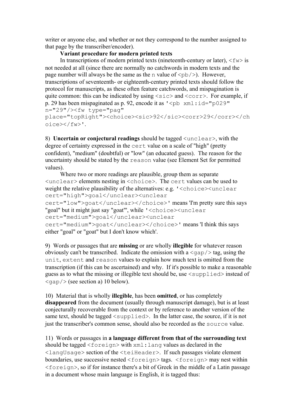writer or anyone else, and whether or not they correspond to the number assigned to that page by the transcriber/encoder).

## **Variant procedure for modern printed texts**

In transcriptions of modern printed texts (nineteenth-century or later),  $\langle f_w \rangle$  is not needed at all (since there are normally no catchwords in modern texts and the page number will always be the same as the n value of  $\langle pb / \rangle$ ). However, transcriptions of seventeenth- or eighteenth-century printed texts should follow the protocol for manuscripts, as these often feature catchwords, and mispagination is quite common: this can be indicated by using  $\langle \text{size} \rangle$  and  $\langle \text{corr} \rangle$ . For example, if p. 29 has been mispaginated as p. 92, encode it as  $\leq$ pb xml: $id="p029"$ n="29"/><fw type="pag"

place="topRight"><choice><sic>92</sic><corr>29</corr></ch oice></fw>'.

8) **Uncertain or conjectural readings** should be tagged <unclear>, with the degree of certainty expressed in the cert value on a scale of "high" (pretty confident), "medium" (doubtful) or "low" (an educated guess). The reason for the uncertainty should be stated by the reason value (see Element Set for permitted values).

 Where two or more readings are plausible, group them as separate <unclear> elements nesting in <choice>. The cert values can be used to weight the relative plausibility of the alternatives: e.g. '<choice><unclear cert="high">goal</unclear><unclear cert="low">goat</unclear></choice>' means 'I'm pretty sure this says

"goal" but it might just say "goat"', while '<choice><unclear cert="medium">goal</unclear><unclear cert="medium">goat</unclear></choice>' means 'I think this says either "goal" or "goat" but I don't know which'.

9) Words or passages that are **missing** or are wholly **illegible** for whatever reason obviously can't be transcribed. Indicate the omission with a  $\langle qap \rangle$  tag, using the unit, extent and reason values to explain how much text is omitted from the transcription (if this can be ascertained) and why. If it's possible to make a reasonable guess as to what the missing or illegible text should be, use  $\langle$  supplied instead of  $\langle \text{gap} \rangle$  (see section a) 10 below).

10) Material that is wholly **illegible**, has been **omitted**, or has completely **disappeared** from the document (usually through manuscript damage), but is at least conjecturally recoverable from the context or by reference to another version of the same text, should be tagged  $\langle \text{supplied}\rangle$ . In the latter case, the source, if it is not just the transcriber's common sense, should also be recorded as the source value.

11) Words or passages in **a language different from that of the surrounding text** should be tagged <foreign> with  $xml$ : lang values as declared in the <langUsage> section of the <teiHeader>. If such passages violate element boundaries, use successive nested <foreign> tags. <foreign> may nest within  $\le$  foreign>, so if for instance there's a bit of Greek in the middle of a Latin passage in a document whose main language is English, it is tagged thus: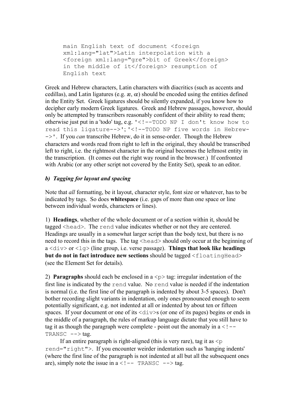main English text of document <foreign xml:lang="lat">Latin interpolation with a <foreign xml:lang="gre">bit of Greek</foreign> in the middle of it</foreign> resumption of English text

Greek and Hebrew characters, Latin characters with diacritics (such as accents and cedillas), and Latin ligatures (e.g.  $\mathbf{a}$ ,  $\mathbf{c}$ ) should be encoded using the entities defined in the Entity Set. Greek ligatures should be silently expanded, if you know how to decipher early modern Greek ligatures. Greek and Hebrew passages, however, should only be attempted by transcribers reasonably confident of their ability to read them; otherwise just put in a 'todo' tag, e.g. '<!--TODO NP I don't know how to read this ligature-->'; '<!--TODO NP five words in Hebrew- ->'. If you *can* transcribe Hebrew, do it in sense-order. Though the Hebrew characters and words read from right to left in the original, they should be transcribed left to right, i.e. the rightmost character in the original becomes the leftmost entity in the transcription. (It comes out the right way round in the browser.) If confronted with Arabic (or any other script not covered by the Entity Set), speak to an editor.

## *b) Tagging for layout and spacing*

Note that *all* formatting, be it layout, character style, font size or whatever, has to be indicated by tags. So does **whitespace** (i.e. gaps of more than one space or line between individual words, characters or lines).

1) **Headings**, whether of the whole document or of a section within it, should be tagged <head>. The rend value indicates whether or not they are centered. Headings are usually in a somewhat larger script than the body text, but there is no need to record this in the tags. The tag <head> should only occur at the beginning of a <div> or <lg> (line group, i.e. verse passage). **Things that look like headings but do not in fact introduce new sections** should be tagged <floatingHead> (see the Element Set for details).

2) **Paragraphs** should each be enclosed in a  $\langle p \rangle$  tag: irregular indentation of the first line is indicated by the rend value. No rend value is needed if the indentation is normal (i.e. the first line of the paragraph is indented by about 3-5 spaces). Don't bother recording slight variants in indentation, only ones pronounced enough to seem potentially significant, e.g. not indented at all or indented by about ten or fifteen spaces. If your document or one of its  $\langle \text{div} \rangle$  (or one of its pages) begins or ends in the middle of a paragraph, the rules of markup language dictate that you still have to tag it as though the paragraph were complete - point out the anomaly in  $a < 1 -$ TRANSC  $--$  tag.

If an entire paragraph is right-aligned (this is very rare), tag it as  $\leq p$ rend="right">. If you encounter weirder indentation such as 'hanging indents' (where the first line of the paragraph is not indented at all but all the subsequent ones are), simply note the issue in  $a < 1 -$  TRANSC  $-$  > tag.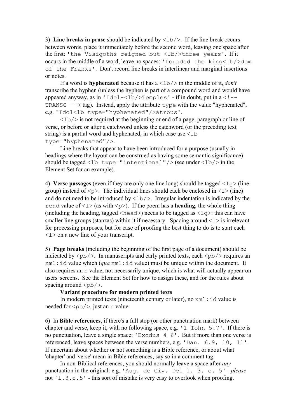3) **Line breaks in prose** should be indicated by  $\langle \frac{1}{2} \rangle$ . If the line break occurs between words, place it immediately before the second word, leaving one space after the first: 'the Visigoths reigned but <lb/>>bb>>three years'. If it occurs in the middle of a word, leave no spaces: 'founded the king<lb/>>b/>dom of the Franks'. Don't record line breaks in interlinear and marginal insertions or notes.

If a word is **hyphenated** because it has  $a <1b$  in the middle of it, *don't* transcribe the hyphen (unless the hyphen is part of a compound word and would have appeared anyway, as in 'Idol-<lb/>>b/>Temples' - if in doubt, put in  $a < I$  --TRANSC  $\leftarrow$  > tag). Instead, apply the attribute type with the value "hyphenated", e.g. 'Idol<lb type="hyphenated"/>atrous'.

 $\langle$ 1b/ $>$  is not required at the beginning or end of a page, paragraph or line of verse, or before or after a catchword unless the catchword (or the preceding text string) is a partial word and hyphenated, in which case use  $\leq$ 1b type="hyphenated"/>.

 Line breaks that appear to have been introduced for a purpose (usually in headings where the layout can be construed as having some semantic significance) should be tagged <lb type="intentional"/> (see under <lb/>>b/> in the Element Set for an example).

4) **Verse passages** (even if they are only one line long) should be tagged  $\langle \log \rangle$  (line group) instead of  $\langle p \rangle$ . The individual lines should each be enclosed in  $\langle 1 \rangle$  (line) and do not need to be introduced by  $\langle 1b \rangle$ . Irregular indentation is indicated by the rend value of  $\langle 1 \rangle$  (as with  $\langle p \rangle$ ). If the poem has a **heading**, the whole thing (including the heading, tagged  $\langle head \rangle$ ) needs to be tagged as  $\langle 1q \rangle$ : this can have smaller line groups (stanzas) within it if necessary. Spacing around  $\langle 1 \rangle$  is irrelevant for processing purposes, but for ease of proofing the best thing to do is to start each <l> on a new line of your transcript.

5) **Page breaks** (including the beginning of the first page of a document) should be indicated by  $\langle pb \rangle$ . In manuscripts and early printed texts, each  $\langle pb \rangle$  requires an xml:id value which (*qua* xml:id value) must be unique within the document. It also requires an n value, not necessarily unique, which is what will actually appear on users' screens. See the Element Set for how to assign these, and for the rules about spacing around  $\langle pb \rangle$ .

## **Variant procedure for modern printed texts**

In modern printed texts (nineteenth century or later), no  $xml$ : id value is needed for  $\langle pb \rangle$ , just an n value.

6) In **Bible references**, if there's a full stop (or other punctuation mark) between chapter and verse, keep it, with no following space, e.g. '1 Iohn 5.7'. If there is no punctuation, leave a single space: 'Exodus 4 6'. But if more than one verse is referenced, leave spaces between the verse numbers, e.g. 'Dan. 6.9, 10, 11'. If uncertain about whether or not something is a Bible reference, or about what 'chapter' and 'verse' mean in Bible references, say so in a comment tag.

 In non-Biblical references, you should normally leave a space after *any* punctuation in the original: e.g. 'Aug. de Civ. Dei l. 3. c. 5' - *please* not 'l.3.c.5' - this sort of mistake is very easy to overlook when proofing.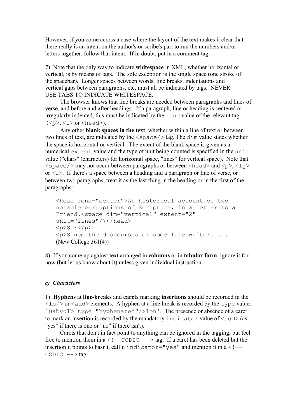However, if you come across a case where the layout of the text makes it clear that there really is an intent on the author's or scribe's part to run the numbers and/or letters together, follow that intent. If in doubt, put in a comment tag.

7) Note that the only way to indicate **whitespace** in XML, whether horizontal or vertical, is by means of tags. The sole exception is the single space (one stroke of the spacebar). Longer spaces between words, line breaks, indentations and vertical gaps between paragraphs, etc, must all be indicated by tags. NEVER USE TABS TO INDICATE WHITESPACE.

 The browser knows that line breaks are needed between paragraphs and lines of verse, and before and after headings. If a paragraph, line or heading is centered or irregularly indented, this must be indicated by the rend value of the relevant tag  $(<sub>></sub>, <1> or  **and**).$ 

 Any other **blank spaces in the text**, whether within a line of text or between two lines of text, are indicated by the <space/> tag. The dim value states whether the space is horizontal or vertical. The extent of the blank space is given as a numerical extent value and the type of unit being counted is specified in the unit value ("chars" (characters) for horizontal space, "lines" for vertical space). Note that  $\langle$ space/> may not occur between paragraphs or between  $\langle$ head> and  $\langle p \rangle$ ,  $\langle q \rangle$ or  $\langle 1 \rangle$ . If there's a space between a heading and a paragraph or line of verse, or between two paragraphs, treat it as the last thing in the heading or in the first of the paragraphs:

```
<head rend="center">An historical account of two 
notable corruptions of Scripture, in a Letter to a 
Friend.<space dim="vertical" extent="2" 
unit="lines"/></head>
<p>Sir</p>
<p>Since the discourses of some late writers ...
(New College 361(4))
```
8) If you come up against text arranged in **columns** or in **tabular form**, ignore it for now (but let us know about it) unless given individual instruction.

### *c) Characters*

1) **Hyphens** at **line-breaks** and **carets** marking **insertions** should be recorded in the  $\langle$ lb/ $>$  or  $\langle$  add $>$  elements. A hyphen at a line break is recorded by the type value: 'Baby<lb type="hyphenated"/>lon'. The presence or absence of a caret to mark an insertion is recorded by the mandatory indicator value of  $\langle \text{add}\rangle$  (as "yes" if there is one or "no" if there isn't).

 Carets that don't in fact point to anything can be ignored in the tagging, but feel free to mention them in  $a < 1 - \text{COLIC}$  --> tag. If a caret has been deleted but the insertion it points to hasn't, call it indicator="yes" and mention it in  $a < I --$ CODIC  $--$  tag.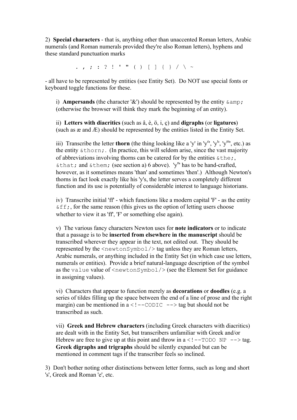2) **Special characters** - that is, anything other than unaccented Roman letters, Arabic numerals (and Roman numerals provided they're also Roman letters), hyphens and these standard punctuation marks

. , ; : ? ! ' " ( ) [ ] { } / \ ~

- all have to be represented by entities (see Entity Set). Do NOT use special fonts or keyboard toggle functions for these.

i) **Ampersands** (the character '&') should be represented by the entity  $\&$  amp; (otherwise the browser will think they mark the beginning of an entity).

ii) **Letters with diacritics** (such as â, è, ö, i, ç) and **digraphs** (or **ligatures**) (such as æ and Æ) should be represented by the entities listed in the Entity Set.

iii) Transcribe the letter **thorn** (the thing looking like a 'y' in 'y<sup>e</sup>', 'y<sup>t</sup>', 'y<sup>m</sup>', etc.) as the entity  $\&\text{thorn}$ ; (In practice, this will seldom arise, since the vast majority of abbreviations involving thorns can be catered for by the entities  $\&\text{the}$ ; &that; and &them; (see section a) 6 above). 'y<sup>n</sup>' has to be hand-crafted, however, as it sometimes means 'than' and sometimes 'then'.) Although Newton's thorns in fact look exactly like his 'y's, the letter serves a completely different function and its use is potentially of considerable interest to language historians.

iv) Transcribe initial 'ff' - which functions like a modern capital 'F' - as the entity  $\&ff$ ;, for the same reason (this gives us the option of letting users choose whether to view it as 'ff'. 'F' or something else again).

v) The various fancy characters Newton uses for **note indicators** or to indicate that a passage is to be **inserted from elsewhere in the manuscript** should be transcribed wherever they appear in the text, not edited out. They should be represented by the <newtonSymbol/> tag unless they are Roman letters, Arabic numerals, or anything included in the Entity Set (in which case use letters, numerals or entities). Provide a brief natural-language description of the symbol as the value value of  $\langle$  newtonSymbol/ $\rangle$  (see the Element Set for guidance in assigning values).

vi) Characters that appear to function merely as **decorations** or **doodles** (e.g. a series of tildes filling up the space between the end of a line of prose and the right margin) can be mentioned in  $a < 1 - \text{CODE} \rightarrow \text{tag}$  but should not be transcribed as such.

vii) **Greek and Hebrew characters** (including Greek characters with diacritics) are dealt with in the Entity Set, but transcribers unfamiliar with Greek and/or Hebrew are free to give up at this point and throw in  $a < 1 - TODO$  NP  $->> tag$ . **Greek digraphs and trigraphs** should be silently expanded but can be mentioned in comment tags if the transcriber feels so inclined.

3) Don't bother noting other distinctions between letter forms, such as long and short 's', Greek and Roman 'e', etc.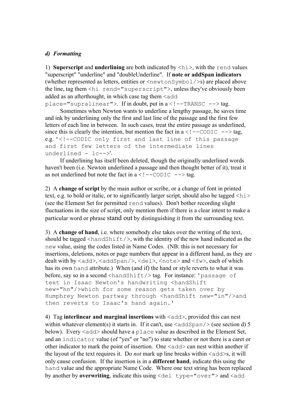## *d) Formatting*

1) **Superscript** and **underlining** are both indicated by <hi>, with the rend values "superscript" "underline" and "doubleUnderline". If **note or addSpan indicators** (whether represented as letters, entities or  $\langle newtonSymbol \rangle$  are placed above the line, tag them <hi rend="superscript">, unless they've obviously been added as an afterthought, in which case tag them  $\leq$  add

 $place="suprality: If in doubt, put in a < !--TRANSC --> tag.$ 

 Sometimes when Newton wants to underline a lengthy passage, he saves time and ink by underlining only the first and last line of the passage and the first few letters of each line in between. In such cases, treat the entire passage as underlined, since this is clearly the intention, but mention the fact in  $a < 1 - \text{CODE} \rightarrow \text{tag}$ , e.g. '<!--CODIC only first and last line of this passage and first few letters of the intermediate lines underlined - lc-->'.

 If underlining has itself been deleted, though the originally underlined words haven't been (i.e. Newton underlined a passage and then thought better of it), treat it as not underlined but note the fact in  $a < 1 - \text{CODE} \rightarrow \text{tag}$ .

2) A **change of script** by the main author or scribe, or a change of font in printed text, e.g. to bold or italic, or to significantly larger script, should also be tagged  $\langle hi \rangle$ (see the Element Set for permitted rend values). Don't bother recording slight fluctuations in the size of script, only mention them if there is a clear intent to make a particular word or phrase stand out by distinguishing it from the surrounding text.

3) A **change of hand**, i.e. where somebody else takes over the writing of the text, should be tagged  $\langle$ handShift/ $\rangle$ , with the identity of the new hand indicated as the new value, using the codes listed in Name Codes. (NB: this is not necessary for insertions, deletions, notes or page numbers that appear in a different hand, as they are dealt with by <add>, <addSpan/>, <del>, <note> and <fw>, each of which has its own hand attribute.) When (and if) the hand or style reverts to what it was before, say so in a second <handShift/>tag. For instance: 'passage of text in Isaac Newton's handwriting <handShift new="hn"/>which for some reason gets taken over by Humphrey Newton partway through <handShift new="in"/>and then reverts to Isaac's hand again.'

4) Tag **interlinear and marginal insertions** with <add>, provided this can nest within whatever element(s) it starts in. If it can't, use  $\langle \text{addSpan}/\rangle$  (see section d) 5 below). Every  $\langle \text{add}\rangle$  should have a place value as described in the Element Set, and an indicator value (of "yes" or "no") to state whether or not there is a caret or other indicator to mark the point of insertion. One  $\langle \text{add}\rangle$  can nest within another if the layout of the text requires it. Do *not* mark up line breaks within  $\langle \text{add}\rangle$ s, it will only cause confusion. If the insertion is in a **different hand**, indicate this using the hand value and the appropriate Name Code. Where one text string has been replaced by another by **overwriting**, indicate this using  $\langle$  del type="over"> and  $\langle$  add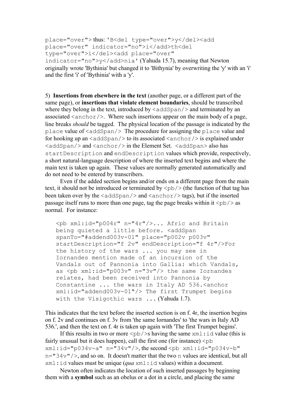```
place="over"> thus: 'B<del type="over">y</del><add
place="over" indicator="no">i</add>th<del 
type="over">i</del><add place="over"
```
indicator="no">y</add>nia' (Yahuda 15.7), meaning that Newton originally wrote 'Bythinia' but changed it to 'Bithynia' by overwriting the 'y' with an 'i' and the first 'i' of 'Bythinia' with a 'y'.

5) **Insertions from elsewhere in the text** (another page, or a different part of the same page), or **insertions that violate element boundaries**, should be transcribed where they belong in the text, introduced by  $\langle \text{addSpan}/\rangle$  and terminated by an associated  $\langle$  anchor $\rangle$ . Where such insertions appear on the main body of a page, line breaks *should* be tagged. The physical location of the passage is indicated by the place value of <addSpan/> The procedure for assigning the place value and for hooking up an  $\langle \text{addSpan}/\rangle$  to its associated  $\langle \text{anchor}/\rangle$  is explained under  $\langle \text{addSpan}/\rangle$  and  $\langle \text{anchor}/\rangle$  in the Element Set.  $\langle \text{addSpan}\rangle$  also has startDescription and endDescription values which provide, respectively, a short natural-language description of where the inserted text begins and where the main text is taken up again. These values are normally generated automatically and do not need to be entered by transcribers.

 Even if the added section begins and/or ends on a different page from the main text, it should not be introduced or terminated by  $\langle pb \rangle$  (the function of that tag has been taken over by the  $\langle \text{addSpan}/\rangle$  and  $\langle \text{anchor}/\rangle$  tags), but if the inserted passage itself runs to more than one page, tag the page breaks within it  $\langle pb \rangle$  as normal. For instance:

<pb xml:id="p004r" n="4r"/>... Afric and Britain being quieted a little before. <addSpan spanTo="#addend003v-01" place="p002v p003v" startDescription="f 2v" endDescription="f 4r"/>For the history of the wars ... you may see in Iornandes mention made of an incursion of the Vandals out of Pannonia into Gallia: which Vandals, as  $\langle pb \times m1:id="p003v" n="3v"/\rangle$  the same Iornandes relates, had been received into Pannonia by Constantine ... the wars in Italy AD 536. <anchor xml:id="addend003v-01"/> The first Trumpet begins with the Visigothic wars ... (Yahuda 1.7).

This indicates that the text before the inserted section is on f. 4r, the insertion begins on f. 2v and continues on f. 3v from 'the same Iornandes' to 'the wars in Italy AD 536.', and then the text on f. 4r is taken up again with 'The first Trumpet begins'.

If this results in two or more  $\langle pb \rangle$  is having the same  $xml$ : id value (this is fairly unusual but it does happen), call the first one (for instance)  $\langle pb \rangle$  $xml:id="p034v-a" n="34v"/; the second opb xml:id="p034v-b"$  $n=$ "34 $v$ "/>, and so on. It doesn't matter that the two n values are identical, but all xml:id values must be unique (*qua* xml:id values) within a document.

 Newton often indicates the location of such inserted passages by beginning them with a **symbol** such as an obelus or a dot in a circle, and placing the same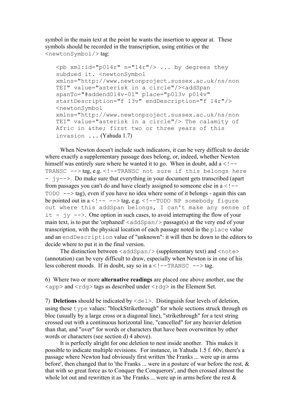symbol in the main text at the point he wants the insertion to appear at. These symbols should be recorded in the transcription, using entities or the <newtonSymbol/> tag:

```
<pb xml:id="p014r" n="14r"/> ... by degrees they
subdued it. < newtonSymbol
xmlns="http://www.newtonproject.sussex.ac.uk/ns/non
TEI" value="asterisk in a circle"/><addSpan 
spanTo="#addend014v-01" place="p013v p014v" 
startDescription="f 13v" endDescription="f 14r"/> 
<newtonSymbol 
xmlns="http://www.newtonproject.sussex.ac.uk/ns/non
TEI" value="asterisk in a circle"/> The calamity of 
Afric in &the; first two or three years of this 
invasion ... (Yahuda 1.7)
```
 When Newton doesn't include such indicators, it can be very difficult to decide where exactly a supplementary passage does belong, or, indeed, whether Newton himself was entirely sure where he wanted it to go. When in doubt, add  $a < 1 -$ TRANSC --> tag, e.g. <!--TRANSC not sure if this belongs here  $\gamma y \rightarrow$ . Do make sure that everything in your document gets transcribed (apart) from passages you can't do and have clearly assigned to someone else in  $a < 1 TODO \leftarrow \rightarrow \text{tag}$ , even if you have no idea where some of it belongs - again this can be pointed out in  $a < !---->\tan a$ , e.g.  $< !--TODO$  NP somebody figure out where this addSpan belongs, I can't make any sense of it  $-$  jy  $-\rightarrow$ . One option in such cases, to avoid interrupting the flow of your main text, is to put the 'orphaned'  $\langle \text{addSpan}/\rangle$  passage(s) at the very end of your transcription, with the physical location of each passage noted in the place value and an endDescription value of "unknown": it will then be down to the editors to decide where to put it in the final version.

The distinction between  $\langle \text{addSpan}/\rangle$  (supplementary text) and  $\langle \text{note}\rangle$ (annotation) can be very difficult to draw, especially when Newton is in one of his less coherent moods. If in doubt, say so in  $a < 1 - \text{TRANSC}$  --> tag.

6) Where two or more **alternative readings** are placed one above another, use the  $\langle \text{app} \rangle$  and  $\langle \text{rdq} \rangle$  tags as described under  $\langle \text{rdq} \rangle$  in the Element Set.

7) **Deletions** should be indicated by  $\langle$ del>. Distinguish four levels of deletion, using these type values: "blockStrikethrough" for whole sections struck through en bloc (usually by a large cross or a diagonal line), "strikethrough" for a text string crossed out with a continuous horizontal line, "cancelled" for any heavier deletion than that, and "over" for words or characters that have been overwritten by other words or characters (see section d) 4 above).

 It is perfectly alright for one deletion to nest inside another. This makes it possible to indicate multiple revisions. For instance, in Yahuda 1.5 f. 60v, there's a passage where Newton had obviously first written 'the Franks ... were up in arms before', then changed that to 'the Franks ... were in a posture of war before the rest, & that with so great force as to Conquer the Conquerors', and then crossed almost the whole lot out and rewritten it as 'the Franks  $\ldots$  were up in arms before the rest  $\&$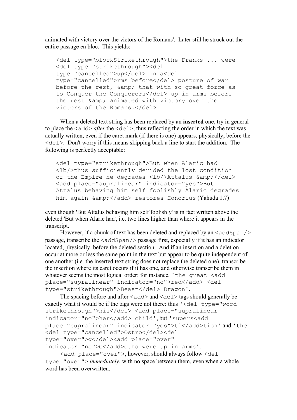animated with victory over the victors of the Romans'. Later still he struck out the entire passage en bloc. This yields:

```
<del type="blockStrikethrough">the Franks ... were 
<del type="strikethrough"><del 
type="cancelled">up</del> in a<del
type="cancelled">rms before</del> posture of war
before the rest, & amp; that with so great force as
to Conquer the Conquerors</del> up in arms before
the rest & amp; animated with victory over the
victors of the Romans.</del>
```
 When a deleted text string has been replaced by an **inserted** one, try in general to place the  $\langle \text{add}\rangle$  *after* the  $\langle \text{del}\rangle$ , thus reflecting the order in which the text was actually written, even if the caret mark (if there is one) appears, physically, before the <del>. Don't worry if this means skipping back a line to start the addition. The following is perfectly acceptable:

<del type="strikethrough">But when Alaric had <lb/>thus sufficiently derided the lost condition of the Empire he degrades <lb/>>b/>Attalus &amp;</del> <add place="supralinear" indicator="yes">But Attalus behaving him self foolishly Alaric degrades him again & amp; </add> restores Honorius (Yahuda 1.7)

even though 'But Attalus behaving him self foolishly' is in fact written above the deleted 'But when Alaric had', i.e. two lines higher than where it appears in the transcript.

However, if a chunk of text has been deleted and replaced by an  $\langle$  addSpan $\rangle$ passage, transcribe the  $\langle \text{addSpan}/\rangle$  passage first, especially if it has an indicator located, physically, before the deleted section. And if an insertion and a deletion occur at more or less the same point in the text but appear to be quite independent of one another (i.e. the inserted text string does not replace the deleted one), transcribe the insertion where its caret occurs if it has one, and otherwise transcribe them in whatever seems the most logical order: for instance, 'the great <add place="supralinear" indicator="no">red</add> <del type="strikethrough">Beast</del> Dragon'.

```
The spacing before and after \langle \text{add}\rangle and \langle \text{del}\rangle tags should generally be
exactly what it would be if the tags were not there: thus '<del type="word 
strikethrough">his</del> <add place="supralinear
indicator="no">her</add> child', but 'supers<add 
place="supralinear" indicator="yes">ti</add>tion' and 'the 
<del type="cancelled">Ostro</del><del
type="over">q</del><add place="over"
indicator="no">G</add>oths were up in arms'.
```
 <add place="over">, however, should always follow <del type="over"> *immediately*, with no space between them, even when a whole word has been overwritten.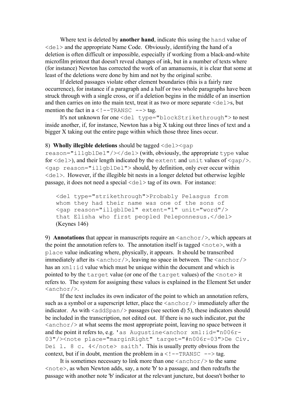Where text is deleted by **another hand**, indicate this using the hand value of  $\langle \text{del}\rangle$  and the appropriate Name Code. Obviously, identifying the hand of a deletion is often difficult or impossible, especially if working from a black-and-white microfilm printout that doesn't reveal changes of ink, but in a number of texts where (for instance) Newton has corrected the work of an amanuensis, it is clear that some at least of the deletions were done by him and not by the original scribe.

 If deleted passages violate other element boundaries (this is a fairly rare occurrence), for instance if a paragraph and a half or two whole paragraphs have been struck through with a single cross, or if a deletion begins in the middle of an insertion and then carries on into the main text, treat it as two or more separate  $\le$  del  $\ge$ s, but mention the fact in  $a < 1 - TRRANSC$   $\rightarrow$  tag.

 It's not unknown for one <del type="blockStrikethrough"> to nest inside another, if, for instance. Newton has a big  $X$  taking out three lines of text and a bigger X taking out the entire page within which those three lines occur.

#### 8) **Wholly illegible deletions** should be tagged  $\langle$ del $>$ qap

reason="illgblDel"/></del> (with, obviously, the appropriate type value for  $\langle$ del>), and their length indicated by the extent and unit values of  $\langle$ gap/>. <gap reason="illgblDel"> should, by definition, only ever occur within <del>. However, if the illegible bit nests in a longer deleted but otherwise legible passage, it does not need a special  $\langle$ del $\rangle$  tag of its own. For instance:

<del type="strikethrough">Probably Pelasgus from whom they had their name was one of the sons of <gap reason="illgblDel" extent="1" unit="word"/> that Elisha who first peopled Peleponnesus.</del> (Keynes 146)

9) **Annotations** that appear in manuscripts require an <anchor/>, which appears at the point the annotation refers to. The annotation itself is tagged  $\langle$ note $\rangle$ , with a place value indicating where, physically, it appears. It should be transcribed immediately after its  $\langle$ anchor $\rangle$ , leaving no space in between. The  $\langle$ anchor $\rangle$ has an  $xml$ : id value which must be unique within the document and which is pointed to by the target value (or one of the target values) of the <note> it refers to. The system for assigning these values is explained in the Element Set under  $\langle$ anchor $\rangle$ 

 If the text includes its own indicator of the point to which an annotation refers, such as a symbol or a superscript letter, place the  $\langle\text{anchor}\rangle$  immediately after the indicator. As with  $\langle \text{addSpan}/\rangle$  passages (see section d) 5), these indicators should be included in the transcription, not edited out. If there is no such indicator, put the  $\langle$ anchor $\rangle$  at what seems the most appropriate point, leaving no space between it and the point it refers to, e.g. 'as Augustine $\langle$ anchor xml: $id="n006r-$ 03"/><note place="marginRight" target="#n006r-03">De Civ. Dei 1. 8 c.  $4$  </note> saith'. This is usually pretty obvious from the context, but if in doubt, mention the problem in  $a < 1 - TRANSC$  --> tag.

It is sometimes necessary to link more than one  $\langle \text{anchor} \rangle$  to the same  $\langle$  note>, as when Newton adds, say, a note 'b' to a passage, and then redrafts the passage with another note 'b' indicator at the relevant juncture, but doesn't bother to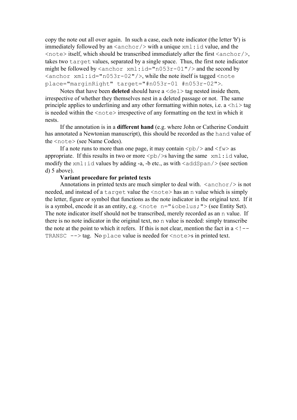copy the note out all over again. In such a case, each note indicator (the letter 'b') is immediately followed by an  $\langle$  anchor $\rangle$  with a unique  $x$ ml:id value, and the  $\langle$  note> itself, which should be transcribed immediately after the first  $\langle$  anchor $\rangle$ , takes two target values, separated by a single space. Thus, the first note indicator might be followed by  $\langle$  anchor  $xml$ : $id="n053r-01"$  / $>$  and the second by  $\frac{\pi}{1}$  xml: $id="n053r-02"$ , while the note itself is tagged  $\frac{\pi}{100}$ place="marginRight" target="#n053r-01 #n053r-02">.

Notes that have been **deleted** should have a  $\langle$ del $\rangle$  tag nested inside them, irrespective of whether they themselves nest in a deleted passage or not. The same principle applies to underlining and any other formatting within notes, i.e.  $a < h \leq 1$ is needed within the  $\langle \text{note} \rangle$  irrespective of any formatting on the text in which it nests.

 If the annotation is in a **different hand** (e.g. where John or Catherine Conduitt has annotated a Newtonian manuscript), this should be recorded as the hand value of the <note> (see Name Codes).

If a note runs to more than one page, it may contain  $\langle pb \rangle$  and  $\langle fw \rangle$  as appropriate. If this results in two or more  $\langle pb / \rangle$ s having the same xml:id value, modify the  $xml$ : id values by adding -a, -b etc., as with  $\langle \text{addSpan}/\rangle$  (see section d) 5 above).

## **Variant procedure for printed texts**

Annotations in printed texts are much simpler to deal with.  $\langle$ anchor $\rangle$  is not needed, and instead of a target value the <note> has an n value which is simply the letter, figure or symbol that functions as the note indicator in the original text. If it is a symbol, encode it as an entity, e.g. <note n="&obelus;"> (see Entity Set). The note indicator itself should not be transcribed, merely recorded as an n value. If there is no note indicator in the original text, no n value is needed: simply transcribe the note at the point to which it refers. If this is not clear, mention the fact in  $a < 1 -$ TRANSC  $\leftarrow$  > tag. No place value is needed for  $\langle$  note  $\rangle$ s in printed text.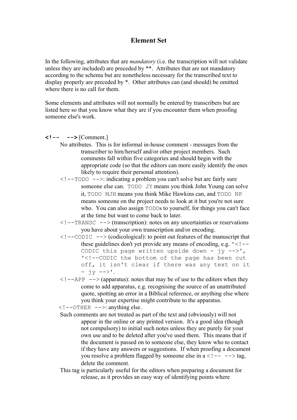## **Element Set**

In the following, attributes that are *mandatory* (i.e. the transcription will not validate unless they are included) are preceded by \*\*. Attributes that are not mandatory according to the schema but are nonetheless necessary for the transcribed text to display properly are preceded by \*. Other attributes can (and should) be omitted where there is no call for them.

Some elements and attributes will not normally be entered by transcribers but are listed here so that you know what they are if you encounter them when proofing someone else's work.

 $\langle$ !-- --> [Comment.]

- No attributes. This is for informal in-house comment messages from the transcriber to him/herself and/or other project members. Such comments fall within five categories and should begin with the appropriate code (so that the editors can more easily identify the ones likely to require their personal attention).
- $\leq$  !  $\sim$   $\sim$   $\leq$  indicating a problem you can't solve but are fairly sure someone else can. TODO JY means you think John Young can solve it, TODO MJH means you think Mike Hawkins can, and TODO NP means someone on the project needs to look at it but you're not sure who. You can also assign TODOs to yourself, for things you can't face at the time but want to come back to later.
- $\langle$  ! --TRANSC --> (transcription): notes on any uncertainties or reservations you have about your own transcription and/or encoding.
- $\langle$  --CODIC --> (codicological): to point out features of the manuscript that these guidelines don't yet provide any means of encoding, e.g.  $\leq -1$ CODIC this page written upside down -  $\overline{y}$  -->', '<!--CODIC the bottom of the page has been cut off, it isn't clear if there was any text on it  $- jy -->}'.$
- $\langle$  ! --APP --> (apparatus): notes that may be of use to the editors when they come to add apparatus, e.g. recognising the source of an unattributed quote, spotting an error in a Biblical reference, or anything else where you think your expertise might contribute to the apparatus.

 $\langle$  ! --OTHER -->: anything else.

- Such comments are not treated as part of the text and (obviously) will not appear in the online or any printed version. It's a good idea (though not compulsory) to initial such notes unless they are purely for your own use and to be deleted after you've used them. This means that if the document is passed on to someone else, they know who to contact if they have any answers or suggestions. If when proofing a document you resolve a problem flagged by someone else in  $a < 1 - - - > tag$ , delete the comment.
- This tag is particularly useful for the editors when preparing a document for release, as it provides an easy way of identifying points where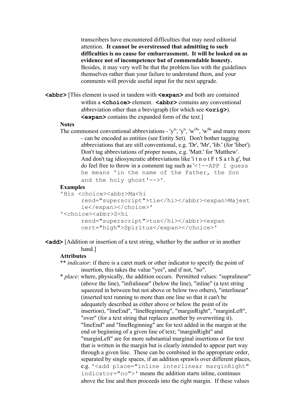transcribers have encountered difficulties that may need editorial attention. **It cannot be overstressed that admitting to such difficulties is no cause for embarrassment. It will be looked on as evidence not of incompetence but of commendable honesty.** Besides, it may very well be that the problem lies with the guidelines themselves rather than your failure to understand them, and your comments will provide useful input for the next upgrade.

**<abbr>** [This element is used in tandem with **<expan>** and both are contained within a **<choice>** element. **<abbr>** contains any conventional abbreviation other than a brevigraph (for which see **<orig>**). **<expan>** contains the expanded form of the text.]

#### **Notes**

The commonest conventional abbreviations - 'y<sup>e</sup>', 'y<sup>t</sup>', 'w<sup>ch</sup>', 'w<sup>th</sup>' and many more - can be encoded as entities (see Entity Set). Don't bother tagging abbreviations that are still conventional, e.g. 'Dr', 'Mr', 'lib.' (for 'liber'). Don't tag abbreviations of proper nouns, e.g. 'Matt.' for 'Matthew'. And don't tag idiosyncratic abbreviations like 'i t n o t F t S a t h g', but do feel free to throw in a comment tag such as  $\leq$  ! --APP I guess he means 'in the name of the Father, the Son and the holy ghost'-->'.

#### **Examples**

```
 'His <choice><abbr>Ma<hi
```

```
rend="superscript">tie</hi></abbr><expan>Majest
ie</expan></choice>'
```

```
 '<choice><abbr>S<hi
```

```
rend="superscript">tus</hi></abbr><expan 
cert="high">Spiritus</expan></choice>'
```
## **<add>** [Addition or insertion of a text string, whether by the author or in another hand.]

#### **Attributes**

 \*\* *indicator*: if there is a caret mark or other indicator to specify the point of insertion, this takes the value "yes", and if not, "no".

 \* *place*: where, physically, the addition occurs. Permitted values: "supralinear" (above the line), "infralinear" (below the line), "inline" (a text string squeezed in between but not above or below two others), "interlinear" (inserted text running to more than one line so that it can't be adequately described as either above or below the point of its insertion), "lineEnd", "lineBeginning", "marginRight", "marginLeft", "over" (for a text string that replaces another by overwriting it). "lineEnd" and "lineBeginning" are for text added in the margin at the end or beginning of a given line of text; "marginRight" and "marginLeft" are for more substantial marginal insertions or for text that is written in the margin but is clearly intended to appear part way through a given line. These can be combined in the appropriate order, separated by single spaces, if an addition sprawls over different places, e.g. '<add place="inline interlinear marginRight" indicator="no">' means the addition starts inline, continues above the line and then proceeds into the right margin. If these values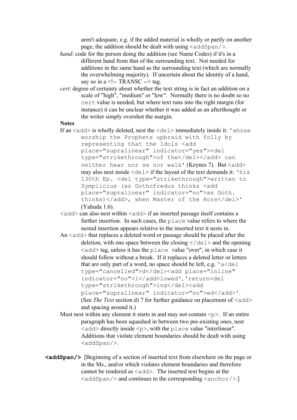aren't adequate, e.g. if the added material is wholly or partly on another page, the addition should be dealt with using  $\langle \text{addSpan}/\rangle$ .

- *hand*: code for the person doing the addition (see Name Codes) if it's in a different hand from that of the surrounding text. Not needed for additions in the same hand as the surrounding text (which are normally the overwhelming majority). If uncertain about the identity of a hand, say so in a  $\leq$ !-- TRANSC --> tag.
- *cert*: degree of certainty about whether the text string is in fact an addition on a scale of "high", "medium" or "low". Normally there is no doubt so no cert value is needed, but where text runs into the right margin (for instance) it can be unclear whether it was added as an afterthought or the writer simply overshot the margin.

## **Notes**

- If an  $\langle \text{add} \rangle$  is wholly deleted, nest the  $\langle \text{del} \rangle$  immediately inside it: 'whose worship the Prophets upbraid with folly by representing that the Idols <add place="supralinear" indicator="yes"><del type="strikethrough">of the</del></add> can neither hear nor se nor walk' (Keynes 7). But <add> may also nest inside  $\langle de1 \rangle$  if the layout of the text demands it: 'his 130th Ep. <del type="strikethrough">written to Symplicius (as Gothofredus thinks <add place="supralinear" indicator="no">as Goth. thinks)</add>, when Master of the Hors</del>' (Yahuda 1.6).
- $\langle \text{add}\rangle$  can also nest within  $\langle \text{add}\rangle$  if an inserted passage itself contains a further insertion. In such cases, the place value refers to where the nested insertion appears relative to the inserted text it nests in.
- An  $\leq$  add> that replaces a deleted word or passage should be placed after the deletion, with one space between the closing  $\langle$  deletion, with one space between the closing  $\langle$  deletionships  $\langle \text{add}\rangle$  tag, unless it has the place value "over", in which case it should follow without a break. If it replaces a deleted letter or letters that are only part of a word, no space should be left, e.g.  $'$  a  $\leq$  de  $\perp$ type="cancelled">d</del><add place="inline" indicator="no">l</add>lowed', 'return<del type="strikethrough">ing</del><add place="supralinear" indicator="no">ed</add>'. (See *The Text* section d) 7 for further guidance on placement of  $\langle \text{add}\rangle$ and spacing around it.)
- Must nest within any element it starts in and may not contain  $\langle p \rangle$ . If an entire paragraph has been squashed in between two pre-existing ones, nest  $\langle \text{add}\rangle$  directly inside  $\langle p \rangle$ , with the place value "interlinear". Additions that violate element boundaries should be dealt with using  $\langle$ addSpan $\rangle$ .
- **<addSpan/>** [Beginning of a section of inserted text from elsewhere on the page or in the Ms., and/or which violates element boundaries and therefore cannot be rendered as  $\langle \text{add} \rangle$ . The inserted text begins at the  $\langle \text{addSpan}/\rangle$  and continues to the corresponding  $\langle \text{anchor}/\rangle$ .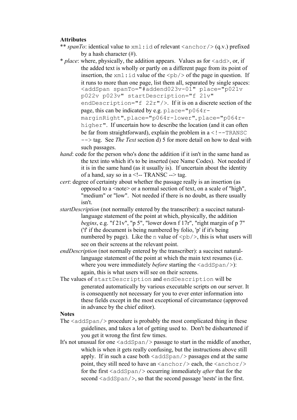## **Attributes**

\*\* *spanTo*: identical value to  $xml$ : id of relevant  $\langle$  anchor $/$  (q.v.) prefixed by a hash character (#).

 \* *place*: where, physically, the addition appears. Values as for <add>, or, if the added text is wholly or partly on a different page from its point of insertion, the  $xml$ : id value of the  $\langle pb \rangle$  of the page in question. If it runs to more than one page, list them all, separated by single spaces: <addSpan spanTo="#addend023v-01" place="p021v p022v p023v" startDescription="f 21v" endDescription="f 22r"/>. If it is on a discrete section of the page, this can be indicated by e.g.  $place="p064r$ marginRight", place="p064r-lower", place="p064rhigher". If uncertain how to describe the location (and it can often be far from straightforward), explain the problem in  $a < 1 - TRANSC$ --> tag. See *The Text* section d) 5 for more detail on how to deal with such passages.

- *hand*: code for the person who's done the addition if it isn't in the same hand as the text into which it's to be inserted (see Name Codes). Not needed if it is in the same hand (as it usually is). If uncertain about the identity of a hand, say so in a <!-- TRANSC --> tag.
- *cert*: degree of certainty about whether the passage really is an insertion (as opposed to a  $\leq$  note $\geq$  or a normal section of text, on a scale of "high". "medium" or "low". Not needed if there is no doubt, as there usually isn't.
- *startDescription* (not normally entered by the transcriber): a succinct naturallanguage statement of the point at which, physically, the addition *begins*, e.g. "f 21v", "p 5", "lower down f 17r", "right margin of p 7" ('f' if the document is being numbered by folio, 'p' if it's being numbered by page). Like the n value of  $\langle pb \rangle$ , this is what users will see on their screens at the relevant point.
- *endDescription* (not normally entered by the transcriber): a succinct naturallanguage statement of the point at which the main text resumes (i.e. where you were immediately *before* starting the  $\langle \text{addSpan}/\rangle$ : again, this is what users will see on their screens.
- The values of startDescription and endDescription will be generated automatically by various executable scripts on our server. It is consequently not necessary for you to ever enter information into these fields except in the most exceptional of circumstance (approved in advance by the chief editor).

## **Notes**

- The  $\langle \text{addSpan}/\rangle$  procedure is probably the most complicated thing in these guidelines, and takes a lot of getting used to. Don't be disheartened if you get it wrong the first few times.
- It's not unusual for one  $\langle \text{addSpan}/\rangle$  passage to start in the middle of another, which is when it gets really confusing, but the instructions above still apply. If in such a case both  $\langle \text{addSpan}/\rangle$  passages end at the same point, they still need to have an  $\langle \text{anchor} \rangle$  each, the  $\langle \text{anchor} \rangle$ for the first <addSpan/> occurring immediately *after* that for the second  $\langle \text{addSpan}\rangle$ , so that the second passage 'nests' in the first.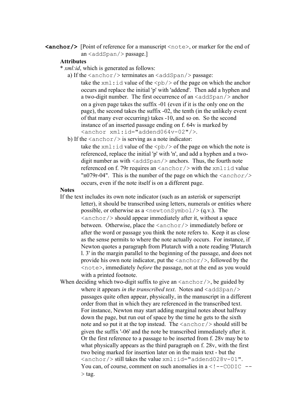**<anchor/>** [Point of reference for a manuscript <note>, or marker for the end of an <addSpan/> passage.]

## **Attributes**

- \* *xml:id*, which is generated as follows:
	- a) If the  $\langle$  anchor $\rangle$  terminates an  $\langle$  addSpan $\rangle$  passage:

take the  $xml$ : id value of the  $\langle pb \rangle$  of the page on which the anchor occurs and replace the initial 'p' with 'addend'. Then add a hyphen and a two-digit number. The first occurrence of an  $\langle \text{addSpan}/\rangle$  anchor on a given page takes the suffix -01 (even if it is the only one on the page), the second takes the suffix -02, the tenth (in the unlikely event of that many ever occurring) takes -10, and so on. So the second instance of an inserted passage ending on f. 64v is marked by <anchor xml:id="addend064v-02"/>.

b) If the  $\langle$  anchor $\rangle$  is serving as a note indicator:

take the  $xml$ : id value of the  $\langle pb \rangle$  of the page on which the note is referenced, replace the initial 'p' with 'n', and add a hyphen and a twodigit number as with  $\langle \text{addSpan}/\rangle$  anchors. Thus, the fourth note referenced on f. 79r requires an  $\langle \text{anchor} \rangle$  with the  $\text{xml}$ : id value "n079r-04". This is the number of the page on which the *<anchor/>* occurs, even if the note itself is on a different page.

#### **Notes**

 If the text includes its own note indicator (such as an asterisk or superscript letter), it should be transcribed using letters, numerals or entities where possible, or otherwise as a  $\leq$  newtonSymbol/ $>$  (q.v.). The  $\langle$ anchor $\rangle$ > should appear immediately after it, without a space between. Otherwise, place the  $\langle$ anchor $\rangle$  immediately before or after the word or passage you think the note refers to. Keep it as close as the sense permits to where the note actually occurs. For instance, if Newton quotes a paragraph from Plutarch with a note reading 'Plutarch l. 3' in the margin parallel to the beginning of the passage, and does not provide his own note indicator, put the  $\langle\text{anchor}\rangle$ , followed by the <note>, immediately *before* the passage, not at the end as you would with a printed footnote.

When deciding which two-digit suffix to give an  $\langle \text{anchor}/ \rangle$ , be guided by where it appears *in the transcribed text*. Notes and  $\langle \text{addSpan}/\rangle$ passages quite often appear, physically, in the manuscript in a different order from that in which they are referenced in the transcribed text. For instance, Newton may start adding marginal notes about halfway down the page, but run out of space by the time he gets to the sixth note and so put it at the top instead. The  $\langle$  anchor $\rangle$  should still be given the suffix '-06' and the note be transcribed immediately after it. Or the first reference to a passage to be inserted from f. 28v may be to what physically appears as the third paragraph on f. 28v, with the first two being marked for insertion later on in the main text - but the  $\langle$ anchor/ $>$ still takes the value xml:id="addend028v-01". You can, of course, comment on such anomalies in  $a < 1 - \text{CODE}$  -- $>$  tag.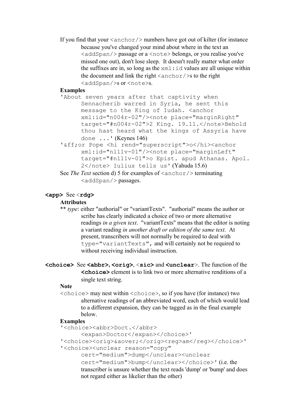If you find that your  $\langle$  anchor $\rangle$  numbers have got out of kilter (for instance because you've changed your mind about where in the text an  $\langle \text{addSpan}/\rangle$  passage or a  $\langle \text{note}\rangle$  belongs, or you realise you've missed one out), don't lose sleep. It doesn't really matter what order the suffixes are in, so long as the  $xml$ : id values are all unique within the document and link the right  $\langle$  anchor $/$   $>$ s to the right <addSpan/>s or <note>s.

## **Examples**

- 'About seven years after that captivity when Sennacherib warred in Syria, he sent this message to the King of Iudah. <anchor xml:id="n004r-02"/><note place="marginRight" target="#n004r-02">2 King. 19.11.</note>Behold thou hast heard what the kings of Assyria have done ...' (Keynes 146)
- '&ff;or Pope <hi rend="superscript">o</hi><anchor xml:id="n111v-01"/><note place="marginLeft" target="#n111v-01">o Epist. apud Athanas. Apol. 2</note> Iulius tells us' (Yahuda 15.6)
- See *The Text* section d) 5 for examples of  $\langle \text{anchor} \rangle$  terminating <addSpan/> passages.

## **<app>** See <**rdg>**

#### **Attributes**

- \*\* *type*: either "authorial" or "variantTexts". "authorial" means the author or scribe has clearly indicated a choice of two or more alternative readings *in a given text*. "variantTexts" means that the editor is noting a variant reading *in another draft or edition of the same text*. At present, transcribers will not normally be required to deal with type="variantTexts", and will certainly not be required to without receiving individual instruction.
- **<choice>** See **<abbr>, <orig>**, <**sic>** and **<unclear**>. The function of the **<choice>** element is to link two or more alternative renditions of a single text string.

#### **Note**

 $\langle$ choice> may nest within  $\langle$ choice>, so if you have (for instance) two alternative readings of an abbreviated word, each of which would lead to a different expansion, they can be tagged as in the final example below.

### **Examples**

- '<choice><abbr>Doct.</abbr>
	- <expan>Doctor</expan></choice>'

```
'<choice><orig>&aover;</orig><reg>am</reg></choice>'
```

```
 '<choice><unclear reason="copy"
```
cert="medium">dump</unclear><unclear

cert="medium">bump</unclear></choice>' (i.e. the transcriber is unsure whether the text reads 'dump' or 'bump' and does not regard either as likelier than the other)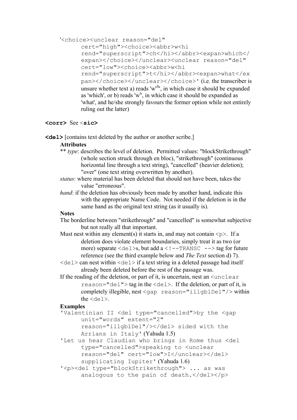'<choice><unclear reason="del"

cert="high"><choice><abbr>w<hi rend="superscript">ch</hi></abbr><expan>which</ expan></choice></unclear><unclear reason="del" cert="low"><choice><abbr>w<hi rend="superscript">t</hi></abbr><expan>what</ex pan></choice></unclear></choice>' (i.e. the transcriber is unsure whether text a) reads 'w<sup>ch</sup>', in which case it should be expanded as 'which', or b) reads 'w<sup>t</sup>', in which case it should be expanded as 'what', and he/she strongly favours the former option while not entirely ruling out the latter)

## **<corr>** See <**sic>**

**<del>** [contains text deleted by the author or another scribe.]

## **Attributes**

- \*\* *type*: describes the level of deletion. Permitted values: "blockStrikethrough" (whole section struck through en bloc), "strikethrough" (continuous horizontal line through a text string), "cancelled" (heavier deletion); "over" (one text string overwritten by another).
- *status*: where material has been deleted that should not have been, takes the value "erroneous".
- *hand*: if the deletion has obviously been made by another hand, indicate this with the appropriate Name Code. Not needed if the deletion is in the same hand as the original text string (as it usually is).

## **Notes**

 The borderline between "strikethrough" and "cancelled" is somewhat subjective but not really all that important.

- Must nest within any element(s) it starts in, and may not contain  $\langle p \rangle$ . If a deletion does violate element boundaries, simply treat it as two (or more) separate  $\langle de1 \rangle s$ , but add a  $\langle$ ! --TRANSC -- $\rangle$  tag for future reference (see the third example below and *The Text* section d) 7).
- $\langle$ del> can nest within  $\langle$ del> if a text string in a deleted passage had itself already been deleted before the rest of the passage was.
- If the reading of the deletion, or part of it, is uncertain, nest an  $\le$ unclear reason="del"> tag in the <del>. If the deletion, or part of it, is completely illegible, nest <gap reason="illgblDel"/> within the  $\langle$ del $\rangle$ .

## **Examples**

 'Valentinian II <del type="cancelled">by the <gap unit="words" extent="2"

reason="illgblDel"/></del> sided with the Arrians in Italy' (Yahuda 1.5)

- 'Let us hear Claudian who brings in Rome thus <del type="cancelled">speaking to <unclear reason="del" cert="low">I</unclear></del> supplicating Iupiter' (Yahuda 1.6)
- '<p><del type="blockStrikethrough"> ... as was analogous to the pain of death.</del></p>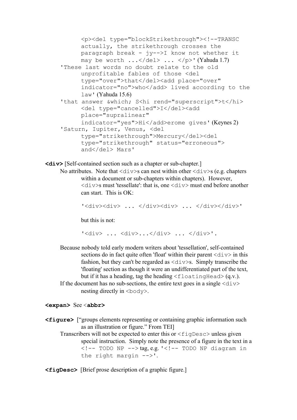```
<p><del type="blockStrikethrough"><!--TRANSC 
     actually, the strikethrough crosses the 
     paragraph break - jy-->I know not whether it 
     may be worth \ldots </del> \ldots </p>' (Yahuda 1.7)
 'These last words no doubt relate to the old 
     unprofitable fables of those <del 
     type="over">that</del><add place="over"
     indicator="no">who</add> lived according to the 
     law' (Yahuda 15.6)
'that answer &which: S<hi rend="superscript">t</hi>
     <del type="cancelled">I</del><add
     place="supralinear" 
     indicator="yes">Hi</add>erome gives' (Keynes 2)
 'Saturn, Iupiter, Venus, <del 
     type="strikethrough">Mercury</del><del
     type="strikethrough" status="erroneous"> 
     and</del> Mars'
```
**<div>** [Self-contained section such as a chapter or sub-chapter.]

```
No attributes. Note that \langle \text{div} \rangles can nest within other \langle \text{div} \rangles (e.g. chapters
           within a document or sub-chapters within chapters). However, 
           \langle \text{div} \rangles must 'tessellate': that is, one \langle \text{div} \rangle must end before another
           can start. This is OK:
```
'<div><div> ... </div><div> ... </div></div>'

but this is not:

```
'\langle \text{div} \rangle ... \langle \text{div} \rangle...\langle \text{div} \rangle ... \langle \text{div} \rangle'.
```
 Because nobody told early modern writers about 'tessellation', self-contained sections do in fact quite often 'float' within their parent  $\langle \text{div} \rangle$  in this fashion, but they can't be regarded as  $\langle \text{div} \rangle$ s. Simply transcribe the 'floating' section as though it were an undifferentiated part of the text, but if it has a heading, tag the heading  $\leq$  floating Head $>$  (q.v.). If the document has no sub-sections, the entire text goes in a single  $\langle \text{div} \rangle$ nesting directly in  $\langle \text{body} \rangle$ .

#### **<expan>** See <**abbr>**

**<figure>** ["groups elements representing or containing graphic information such as an illustration or figure." From TEI] Transcribers will not be expected to enter this or  $\leq$  figDesc $>$  unless given special instruction. Simply note the presence of a figure in the text in a  $\langle$ !-- TODO NP --> tag, e.g. ' $\langle$ !-- TODO NP diagram in the right margin -->'.

**<figDesc>** [Brief prose description of a graphic figure.]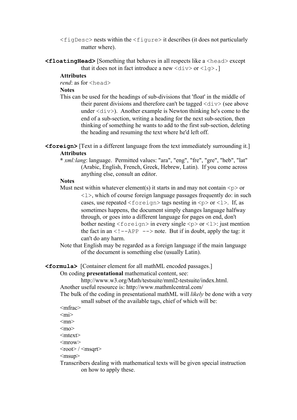- $\langle$  figDesc $>$  nests within the  $\langle$  figure $>$  it describes (it does not particularly matter where).
- **<floatingHead>** [Something that behaves in all respects like a <head> except that it does not in fact introduce a new  $\langle \text{div} \rangle$  or  $\langle \text{log} \rangle$ .

#### **Attributes**

*rend*: as for <head>

#### **Notes**

- This can be used for the headings of sub-divisions that 'float' in the middle of their parent divisions and therefore can't be tagged  $\langle \text{div} \rangle$  (see above under  $\langle \text{div} \rangle$ . Another example is Newton thinking he's come to the end of a sub-section, writing a heading for the next sub-section, then thinking of something he wants to add to the first sub-section, deleting the heading and resuming the text where he'd left off.
- **<foreign>** [Text in a different language from the text immediately surrounding it.] **Attributes**
	- **\*** *xml:lang*: language. Permitted values: "ara", "eng", "fre", "gre", "heb", "lat" (Arabic, English, French, Greek, Hebrew, Latin). If you come across anything else, consult an editor.

### **Notes**

- Must nest within whatever element(s) it starts in and may not contain  $\langle p \rangle$  or  $\langle 1 \rangle$ , which of course foreign language passages frequently do: in such cases, use repeated  $\langle$  foreign $\rangle$  tags nesting in  $\langle p \rangle$  or  $\langle 1 \rangle$ . If, as sometimes happens, the document simply changes language halfway through, or goes into a different language for pages on end, don't bother nesting  $\le$  foreign> in every single  $\le$  p> or  $\le$  1>: just mention the fact in an  $\leq$  !  $-\text{APP}$   $\Rightarrow$  note. But if in doubt, apply the tag: it can't do any harm.
- Note that English may be regarded as a foreign language if the main language of the document is something else (usually Latin).

## **<formula>** [Container element for all mathML encoded passages.]

On coding **presentational** mathematical content, see:

http://www.w3.org/Math/testsuite/mml2-testsuite/index.html.

Another useful resource is: http://www.mathmlcentral.com/

 The bulk of the coding in presentational mathML will *likely* be done with a very small subset of the available tags, chief of which will be:

- <mfrac>
- $\langle \text{mi}\rangle$
- $<$ mn $>$
- $<sub>mpo</sub>$ </sub>
- $<$ mtext $>$
- $<$ mrow $>$
- $<$ root $>$  /  $<$ msqrt $>$

 $<$ msup $>$ 

 Transcribers dealing with mathematical texts will be given special instruction on how to apply these.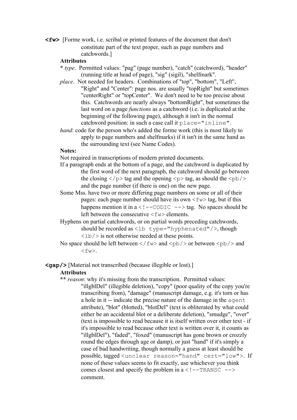**<fw>** [Forme work, i.e. scribal or printed features of the document that don't constitute part of the text proper, such as page numbers and catchwords.]

## **Attributes**

- **\*** *type*. Permitted values: "pag" (page number), "catch" (catchword), "header" (running title at head of page), "sig" (sigil), "shelfmark".
- *place*. Not needed for headers. Combinations of "top", "bottom", "Left", "Right" and "Center": page nos. are usually "topRight" but sometimes "centerRight" or "topCenter". We don't need to be too precise about this. Catchwords are nearly always "bottomRight", but sometimes the last word on a page *functions* as a catchword (i.e. is duplicated at the beginning of the following page), although it isn't in the normal catchword position: in such a case call it place="inline".
- *hand*: code for the person who's added the forme work (this is most likely to apply to page numbers and shelfmarks) if it isn't in the same hand as the surrounding text (see Name Codes).

## **Notes:**

Not required in transcriptions of modern printed documents.

- If a paragraph ends at the bottom of a page, and the catchword is duplicated by the first word of the next paragraph, the catchword should go between the closing  $\langle p \rangle$  tag and the opening  $\langle p \rangle$  tag, as should the  $\langle pb \rangle$ and the page number (if there is one) on the new page.
- Some Mss. have two or more differing page numbers on some or all of their pages: each page number should have its own  $\langle f_{w}\rangle$  tag, but if this happens mention it in  $a < 1 - \text{CODE} \rightarrow \text{tag}$ . No spaces should be left between the consecutive  $\langle f_{w}\rangle$  elements.
- Hyphens on partial catchwords, or on partial words preceding catchwords, should be recorded as  $\langle$ 1b type="hyphenated"/>, though  $\langle$ 1b/ $>$  is not otherwise needed at these points.
- No space should be left between  $\langle f(w) \rangle$  and  $\langle pb \rangle$  or between  $\langle pb \rangle$  and  $<$ fw $>$ .

**<gap/>** [Material not transcribed (because illegible or lost).]

#### **Attributes**

 **\*\*** *reason*: why it's missing from the transcription. Permitted values:

"illgblDel" (illegible deletion), "copy" (poor quality of the copy you're transcribing from), "damage" (manuscript damage, e.g. it's torn or has a hole in it -- indicate the precise nature of the damage in the agent attribute), "blot" (blotted), "blotDel" (text is obliterated by what could either be an accidental blot or a deliberate deletion), "smudge", "over" (text is impossible to read because it is itself written over other text - if it's impossible to read because other text is written over it, it counts as "illgblDel"), "faded", "foxed" (manuscript has gone brown or crozzly round the edges through age or damp), or just "hand" if it's simply a case of bad handwriting, though normally a guess at least should be possible, tagged <unclear reason="hand" cert="low">. If none of these values seems to fit exactly, use whichever you think comes closest and specify the problem in  $a < 1 - \text{TRMSC}$  --> comment.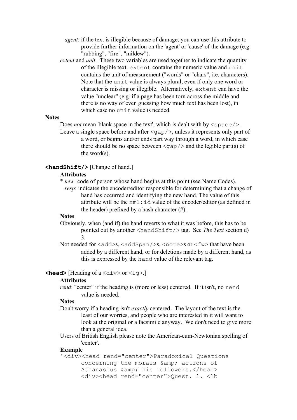- *agent*: if the text is illegible because of damage, you can use this attribute to provide further information on the 'agent' or 'cause' of the damage (e.g. "rubbing", "fire", "mildew").
- *extent* and *unit*. These two variables are used together to indicate the quantity of the illegible text. extent contains the numeric value and unit contains the unit of measurement ("words" or "chars", i.e. characters). Note that the unit value is always plural, even if only one word or character is missing or illegible. Alternatively, extent can have the value "unclear" (e.g. if a page has been torn across the middle and there is no way of even guessing how much text has been lost), in which case no unit value is needed.

### **Notes**

Does *not* mean 'blank space in the text', which is dealt with by  $\langle$ space/>.

Leave a single space before and after  $\langle qap \rangle$ , unless it represents only part of a word, or begins and/or ends part way through a word, in which case there should be no space between  $\langle \sigma \rangle$  and the legible part(s) of the word(s).

## **<handShift/>** [Change of hand.]

### **Attributes**

\* *new*: code of person whose hand begins at this point (see Name Codes).

*resp*: indicates the encoder/editor responsible for determining that a change of hand has occurred and identifying the new hand. The value of this attribute will be the  $xm1$ : id value of the encoder/editor (as defined in the header) prefixed by a hash character  $(\#)$ .

#### **Notes**

 Obviously, when (and if) the hand reverts to what it was before, this has to be pointed out by another <handShift/> tag. See *The Text* section d) 3.

Not needed for  $\langle \text{add}\rangle$ s,  $\langle \text{addSpan}\rangle$ s,  $\langle \text{note}\rangle$ s or  $\langle \text{fw}\rangle$  that have been added by a different hand, or for deletions made by a different hand, as this is expressed by the hand value of the relevant tag.

## **<head>** [Heading of a  $\langle \text{div} \rangle$  or  $\langle \text{lg} \rangle$ .]

#### **Attributes**

*rend*: "center" if the heading is (more or less) centered. If it isn't, no rend value is needed.

#### **Notes**

 Don't worry if a heading isn't *exactly* centered. The layout of the text is the least of our worries, and people who are interested in it will want to look at the original or a facsimile anyway. We don't need to give more than a general idea.

 Users of British English please note the American-cum-Newtonian spelling of 'center'.

## **Example**

'<div><head rend="center">Paradoxical Questions concerning the morals & amp; actions of Athanasius & amp; his followers. </head> <div><head rend="center">Ouest. 1. <lb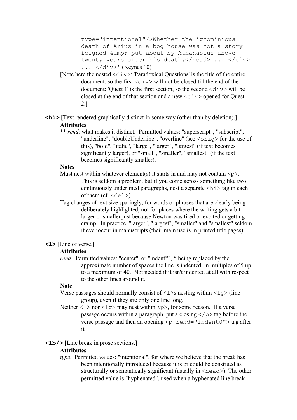type="intentional"/>Whether the ignominious death of Arius in a bog-house was not a story feigned & amp; put about by Athanasius above twenty years after his death.</head> ... </div>  $\ldots$  </div>' (Keynes 10)

[Note here the nested  $\langle \text{div} \rangle$ : 'Paradoxical Questions' is the title of the entire document, so the first <div> will not be closed till the end of the document; 'Quest 1' is the first section, so the second  $\langle \text{div} \rangle$  will be closed at the end of that section and a new  $\langle \text{div} \rangle$  opened for Quest. 2.]

 $\langle$ **hi** $\rangle$  [Text rendered graphically distinct in some way (other than by deletion).] **Attributes**

 \*\* *rend*: what makes it distinct. Permitted values: "superscript", "subscript", "underline", "doubleUnderline", "overline" (see <orig> for the use of this), "bold", "italic", "large", "larger", "largest" (if text becomes significantly larger), or "small", "smaller", "smallest" (if the text becomes significantly smaller).

## **Notes**

- Must nest within whatever element(s) it starts in and may not contain  $\langle p \rangle$ . This is seldom a problem, but if you come across something like two continuously underlined paragraphs, nest a separate  $\langle h \rangle$  tag in each of them (cf.  $\langle$ del $\rangle$ ).
- Tag changes of text size sparingly, for words or phrases that are clearly being deliberately highlighted, not for places where the writing gets a bit larger or smaller just because Newton was tired or excited or getting cramp. In practice, "larger", "largest", "smaller" and "smallest" seldom if ever occur in manuscripts (their main use is in printed title pages).

## **<l>** [Line of verse.]

## **Attributes**

*rend.* Permitted values: "center", or "indent\*", \* being replaced by the approximate number of spaces the line is indented, in multiples of 5 up to a maximum of 40. Not needed if it isn't indented at all with respect to the other lines around it.

## **Note**

- Verse passages should normally consist of  $\langle 1 \rangle$ s nesting within  $\langle 1 \rangle$  (line group), even if they are only one line long.
- Neither  $\langle 1 \rangle$  nor  $\langle 1 \rangle$  may nest within  $\langle p \rangle$ , for some reason. If a verse passage occurs within a paragraph, put a closing  $\langle p \rangle$  tag before the verse passage and then an opening  $\leq p$  rend="indent0" > tag after it.

## **<lb/>** [Line break in prose sections.]

## **Attributes**

 *type*. Permitted values: "intentional", for where we believe that the break has been intentionally introduced because it is or could be construed as structurally or semantically significant (usually in <head>). The other permitted value is "hyphenated", used when a hyphenated line break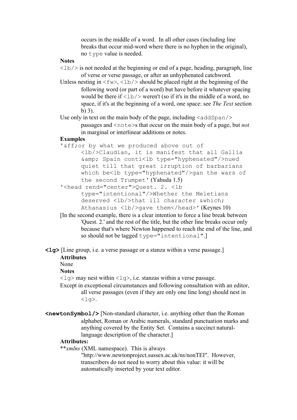occurs in the middle of a word. In all other cases (including line breaks that occur mid-word where there is no hyphen in the original), no type value is needed.

### **Notes**

- $\langle$ 1b/ $>$  is not needed at the beginning or end of a page, heading, paragraph, line of verse or verse passage, or after an unhyphenated catchword.
- Unless nesting in  $\langle$  fw>,  $\langle$ 1b/> should be placed right at the beginning of the following word (or part of a word) but have before it whatever spacing would be there if  $\langle 1\text{b}/\rangle$  weren't (so if it's in the middle of a word, no space, if it's at the beginning of a word, one space: see *The Text* section b) 3).

Use only in text on the main body of the page, including  $\langle \text{addSpan}/\rangle$ passages and <note>s that occur on the main body of a page, but *not* in marginal or interlinear additions or notes.

## **Examples**

- '&ff;or by what we produced above out of <lb/>Claudian, it is manifest that all Gallia &amp; Spain conti<lb type="hyphenated"/>nued quiet till that great irruption of barbarians which be<lb type="hyphenated"/>gan the wars of the second Trumpet' (Yahuda 1.5)
- '<head rend="center">Quest. 2. <lb type="intentional"/>Whether the Meletians deserved <lb/>>bhat ill character & which; Athanasius  $\langle 1b/2\rangle$ qave them $\langle 1b/2\rangle$ ead>' (Keynes 10)
- [In the second example, there is a clear intention to force a line break between 'Quest. 2.' and the rest of the title, but the other line breaks occur only because that's where Newton happened to reach the end of the line, and so should not be tagged type="intentional".]

**<lg>** [Line group, i.e. a verse passage or a stanza within a verse passage.]

## **Attributes**

None

### **Notes**

 $\langle \log \rangle$  may nest within  $\langle \log \rangle$ , i.e. stanzas within a verse passage.

 Except in exceptional circumstances and following consultation with an editor, all verse passages (even if they are only one line long) should nest in  $\langle \text{la} \rangle$ .

**<newtonSymbol/>** [Non-standard character, i.e. anything other than the Roman alphabet, Roman or Arabic numerals, standard punctuation marks and anything covered by the Entity Set. Contains a succinct naturallanguage description of the character.]

## **Attributes:**

\*\**xmlns* (XML namespace). This is always

"http://www.newtonproject.sussex.ac.uk/ns/nonTEI". However, transcribers do not need to worry about this value: it will be automatically inserted by your text editor.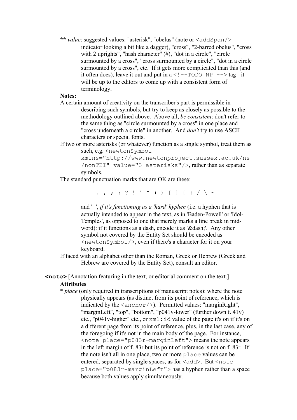**\*\*** *value*: suggested values: "asterisk", "obelus" (note or <addSpan/> indicator looking a bit like a dagger), "cross", "2-barred obelus", "cross with 2 uprights", "hash character" (#), "dot in a circle", "circle" surmounted by a cross", "cross surmounted by a circle", "dot in a circle surmounted by a cross", etc. If it gets more complicated than this (and it often does), leave it out and put in  $a < 1 - TODO \ NP - \rightarrow taq - it$ will be up to the editors to come up with a consistent form of terminology.

## **Notes:**

 A certain amount of creativity on the transcriber's part is permissible in describing such symbols, but try to keep as closely as possible to the methodology outlined above. Above all, *be consistent*: don't refer to the same thing as "circle surmounted by a cross" in one place and "cross underneath a circle" in another. And *don't* try to use ASCII characters or special fonts.

## If two or more asterisks (or whatever) function as a single symbol, treat them as such, e.g. < newtonSymbol

xmlns="http://www.newtonproject.sussex.ac.uk/ns /nonTEI" value="3 asterisks"/>, rather than as separate symbols.

The standard punctuation marks that are OK are these:

. , ; : ? ! ' " ( ) [ ] { } / \ ~

and '-', *if it's functioning as a 'hard' hyphen* (i.e. a hyphen that is actually intended to appear in the text, as in 'Baden-Powell' or 'Idol-Temples', as opposed to one that merely marks a line break in midword): if it functions as a dash, encode it as '‐'. Any other symbol not covered by the Entity Set should be encoded as <newtonSymbol/>, even if there's a character for it on your keyboard.

 If faced with an alphabet other than the Roman, Greek or Hebrew (Greek and Hebrew are covered by the Entity Set), consult an editor.

**<note>** [Annotation featuring in the text, or editorial comment on the text.]

## **Attributes**

 \* *place* (only required in transcriptions of manuscript notes): where the note physically appears (as distinct from its point of reference, which is indicated by the  $\langle$ anchor $\rangle$ ). Permitted values: "marginRight", "marginLeft", "top", "bottom", "p041v-lower" (further down f. 41v) etc., "p041v-higher" etc., or xml:id value of the page it's on if it's on a different page from its point of reference, plus, in the last case, any of the foregoing if it's not in the main body of the page. For instance, <note place="p083r-marginLeft"> means the note appears in the left margin of f. 83r but its point of reference is not on f. 83r. If the note isn't all in one place, two or more place values can be entered, separated by single spaces, as for  $\langle \text{add}\rangle$ . But  $\langle \text{note}\rangle$ place="p083r-marginLeft"> has a hyphen rather than a space because both values apply simultaneously.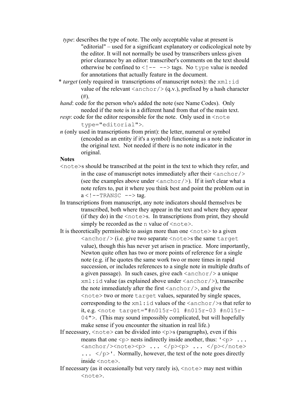- *type*: describes the type of note. The only acceptable value at present is "editorial" – used for a significant explanatory or codicological note by the editor. It will not normally be used by transcribers unless given prior clearance by an editor: transcriber's comments on the text should otherwise be confined to  $\langle$ !-- --> tags. No type value is needed for annotations that actually feature in the document.
- \* *target* (only required in transcriptions of manuscript notes): the xml:id value of the relevant  $\langle$ anchor $/$   $\rangle$  (q.v.), prefixed by a hash character  $(#).$
- *hand*: code for the person who's added the note (see Name Codes). Only needed if the note is in a different hand from that of the main text.
- *resp*: code for the editor responsible for the note. Only used in  $\le$ note type="editorial">.
- *n* (only used in transcriptions from print): the letter, numeral or symbol (encoded as an entity if it's a symbol) functioning as a note indicator in the original text. Not needed if there is no note indicator in the original.

### **Notes**

- <note>s should be transcribed at the point in the text to which they refer, and in the case of manuscript notes immediately after their  $\langle\arctan\theta\rangle$ (see the examples above under  $\langle$ anchor $/$ ). If it isn't clear what a note refers to, put it where you think best and point the problem out in  $a < I$  --TRANSC --> tag.
- In transcriptions from manuscript, any note indicators should themselves be transcribed, both where they appear in the text and where they appear (if they do) in the  $\langle \text{notes } \rangle$ . In transcriptions from print, they should simply be recorded as the n value of  $\langle$ note $\rangle$ .
- It is theoretically permissible to assign more than one  $\langle$  note  $\rangle$  to a given  $\langle$ anchor $\rangle$  (i.e. give two separate  $\langle$ note>s the same target value), though this has never yet arisen in practice. More importantly, Newton quite often has two or more points of reference for a single note (e.g. if he quotes the same work two or more times in rapid succession, or includes references to a single note in multiple drafts of a given passage). In such cases, give each  $\langle$  anchor $\rangle$  a unique  $xml$ : id value (as explained above under  $\langle$  anchor $/$ ), transcribe the note immediately after the first  $\langle$  anchor $\rangle$ , and give the <note> two or more target values, separated by single spaces, corresponding to the  $xml$ : id values of the  $\langle$  anchor $\rangle$ s that refer to it, e.g. <note target="#n015r-01 #n015r-03 #n015r-04">. (This may sound impossibly complicated, but will hopefully make sense if you encounter the situation in real life.)
- If necessary,  $\langle \text{note} \rangle$  can be divided into  $\langle \text{p} \rangle$  (paragraphs), even if this means that one  $\langle p \rangle$  nests indirectly inside another, thus:  $\langle \rangle \langle p \rangle$ ... <anchor/>>>
</b>
</b>
</p></p></note>
</p></po</  $\ldots$  </p>'. Normally, however, the text of the note goes directly inside <note>.
- If necessary (as it occasionally but very rarely is),  $\langle$  note  $\rangle$  may nest within <note>.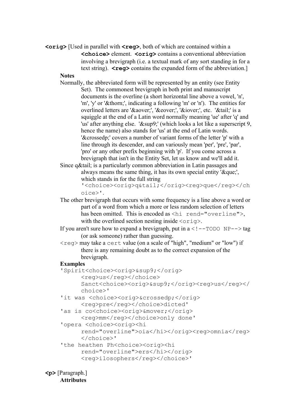**<orig>** [Used in parallel with **<reg>**, both of which are contained within a **<choice>** element. **<orig>** contains a conventional abbreviation involving a brevigraph (i.e. a textual mark of any sort standing in for a text string).  $\leq \text{req}$  contains the expanded form of the abbreviation.

### **Notes**

- Normally, the abbreviated form will be represented by an entity (see Entity Set). The commonest brevigraph in both print and manuscript documents is the overline (a short horizontal line above a vowel, 'n', 'm', 'y' or 'þ', indicating a following 'm' or 'n'). The entities for overlined letters are '&aover;', '&eover;', '&iover;', etc. '&tail;' is a squiggle at the end of a Latin word normally meaning 'ue' after 'q' and 'us' after anything else. '&sup9;' (which looks a lot like a superscript 9, hence the name) also stands for 'us' at the end of Latin words. '&crossedp;' covers a number of variant forms of the letter 'p' with a line through its descender, and can variously mean 'per', 'pre', 'par', 'pro' or any other prefix beginning with 'p'. If you come across a brevigraph that isn't in the Entity Set, let us know and we'll add it.
- Since q&tail; is a particularly common abbreviation in Latin passages and always means the same thing, it has its own special entity '&que;'. which stands in for the full string

```
'<choice><orig>q&tail;</orig><reg>que</reg></ch
oice>'.
```
- The other brevigraph that occurs with some frequency is a line above a word or part of a word from which a more or less random selection of letters has been omitted. This is encoded as <hi rend="overline">, with the overlined section nesting inside  $\langle \text{orig}\rangle$ .
- If you aren't sure how to expand a brevigraph, put in  $a < 1 TODO$  NP $-$  > tag (or ask someone) rather than guessing.
- <reg> may take a cert value (on a scale of "high", "medium" or "low") if there is any remaining doubt as to the correct expansion of the brevigraph.

## **Examples**

```
 'Spirit<choice><orig>&sup9;</orig> 
     <reg>us</reg></choice>
     Sanct<choice><orig>&sup9;</orig><reg>us</reg></
     choice>'
'it was <choice><orig>&crossedp;</orig>
     <reg>pre</reg></choice>dicted'
'as is co<choice><orig>&mover;</orig>
     <reg>mm</reg></choice>only done'
 'opera <choice><orig><hi 
     rend="overline">oia</hi></orig><reg>omnia</reg>
     </choice>'
'the heathen Ph<choice><orig><hi
     rend="overline">ers</hi></orig> 
     <reg>ilosophers</reg></choice>'
```
**<p>** [Paragraph.] **Attributes**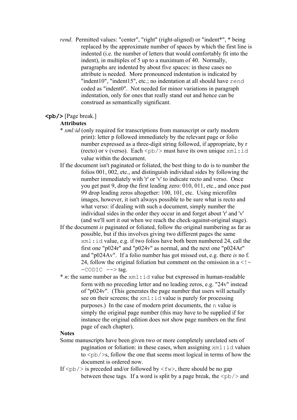- *rend.* Permitted values: "center", "right" (right-aligned) or "indent\*", \* being replaced by the approximate number of spaces by which the first line is indented (i.e. the number of letters that would comfortably fit into the indent), in multiples of 5 up to a maximum of 40. Normally, paragraphs are indented by about five spaces: in these cases no attribute is needed. More pronounced indentation is indicated by "indent10", "indent15", etc.; no indentation at all should have rend coded as "indent0". Not needed for minor variations in paragraph indentation, only for ones that really stand out and hence can be construed as semantically significant.
- **<pb/>** [Page break.]

## **Attributes**

- \* *xml:id* (only required for transcriptions from manuscript or early modern print): letter p followed immediately by the relevant page or folio number expressed as a three-digit string followed, if appropriate, by r (recto) or v (verso). Each  $\langle pb \rangle$  must have its own unique  $xml$ :id value within the document.
- If the document isn't paginated or foliated, the best thing to do is to number the folios 001, 002, etc., and distinguish individual sides by following the number immediately with 'r' or 'v' to indicate recto and verso. Once you get past 9, drop the first leading zero: 010, 011, etc., and once past 99 drop leading zeros altogether: 100, 101, etc. Using microfilm images, however, it isn't always possible to be sure what is recto and what verso: if dealing with such a document, simply number the individual sides in the order they occur in and forget about 'r' and 'v' (and we'll sort it out when we reach the check-against-original stage).
- If the document *is* paginated or foliated, follow the original numbering as far as possible, but if this involves giving two different pages the same xml:id value, e.g. if two folios have both been numbered 24, call the first one "p024r" and "p024v" as normal, and the next one "p024Ar" and "p024Av". If a folio number has got missed out, e.g. there *is* no f. 24, follow the original foliation but comment on the omission in  $a < I -CODIC \text{ --> tag.}$
- $*$  *n*: the same number as the  $xml$ : id value but expressed in human-readable form with no preceding letter and no leading zeros, e.g. "24v" instead of "p024v". (This generates the page number that users will actually see on their screens; the  $xml$ : id value is purely for processing purposes.) In the case of modern print documents, the n value is simply the original page number (this may have to be supplied if for instance the original edition does not show page numbers on the first page of each chapter).

#### **Notes**

- Some manuscripts have been given two or more completely unrelated sets of pagination or foliation: in these cases, when assigning  $xml$ : id values to  $\langle \text{pb}\rangle$  is, follow the one that seems most logical in terms of how the document is ordered now.
- If  $\langle$ pb/ $>$  is preceded and/or followed by  $\langle$ fw $>$ , there should be no gap between these tags. If a word is split by a page break, the  $\langle pb \rangle$  and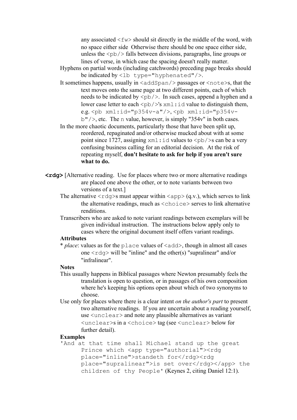any associated  $\langle$  fw $\rangle$  should sit directly in the middle of the word, with no space either side Otherwise there should be one space either side, unless the  $\langle pb \rangle$  falls between divisions, paragraphs, line groups or lines of verse, in which case the spacing doesn't really matter.

- Hyphens on partial words (including catchwords) preceding page breaks should be indicated by  $\langle$ 1b type="hyphenated"/>.
- It sometimes happens, usually in  $\langle \text{addSpan}/\rangle$  passages or  $\langle \text{note} \rangle$  s, that the text moves onto the same page at two different points, each of which needs to be indicated by  $\langle pb \rangle$ . In such cases, append a hyphen and a lower case letter to each  $\langle pb \rangle$ 's xml:id value to distinguish them, e.g.  $\langle$ pb xml:id="p354v-a"/>,  $\langle$ pb xml:id="p354v $b''$  />, etc. The n value, however, is simply "354y" in both cases.

 In the more chaotic documents, particularly those that have been split up, reordered, repaginated and/or otherwise mucked about with at some point since 1727, assigning  $xml$ : id values to  $\langle pb \rangle$  is can be a very confusing business calling for an editorial decision. At the risk of repeating myself, **don't hesitate to ask for help if you aren't sure what to do.**

- **<rdg>** [Alternative reading. Use for places where two or more alternative readings are placed one above the other, or to note variants between two versions of a text.]
	- The alternative  $\langle \text{rdq} \rangle$ s must appear within  $\langle \text{app} \rangle$  (q.v.), which serves to link the alternative readings, much as <choice> serves to link alternative renditions.
	- Transcribers who are asked to note variant readings between exemplars will be given individual instruction. The instructions below apply only to cases where the original document itself offers variant readings.

## **Attributes**

 \* *place*: values as for the place values of <add>, though in almost all cases one  $\langle \text{rdq} \rangle$  will be "inline" and the other(s) "supralinear" and/or "infralinear".

#### **Notes**

- This usually happens in Biblical passages where Newton presumably feels the translation is open to question, or in passages of his own composition where he's keeping his options open about which of two synonyms to choose.
- Use only for places where there is a clear intent *on the author's part* to present two alternative readings. If you are uncertain about a reading yourself, use <unclear> and note any plausible alternatives as variant <unclear>s in a <choice> tag (see <unclear> below for further detail).

#### **Examples**

 'And at that time shall Michael stand up the great Prince which <app type="authorial"><rdg place="inline">standeth for</rdg><rdg place="supralinear">is set over</rdg></app> the children of thy People' (Keynes 2, citing Daniel 12:1).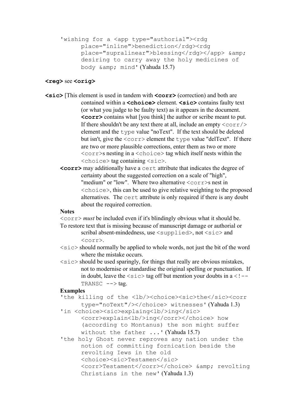```
'wishing for a <app type="authorial"><rdg
     place="inline">benediction</rdg><rdg
     place="supralinear">blessing</rdg></app> &amp;
     desiring to carry away the holy medicines of 
     body & mind' (Yahuda 15.7)
```
#### **<reg>** see **<orig>**

- **<sic>** [This element is used in tandem with **<corr>** (correction) and both are contained within a **<choice>** element. **<sic>** contains faulty text (or what you judge to be faulty text) as it appears in the document. **<corr>** contains what [you think] the author or scribe meant to put. If there shouldn't be any text there at all, include an empty  $\langle \text{corr}\rangle$ element and the type value "noText". If the text should be deleted but isn't, give the  $\langle \text{corr} \rangle$  element the type value "delText". If there are two or more plausible corrections, enter them as two or more <corr>s nesting in a <choice> tag which itself nests within the <choice> tag containing <sic>.
	- **<corr>** may additionally have a cert attribute that indicates the degree of certainty about the suggested correction on a scale of "high", "medium" or "low". Where two alternative  $\langle \text{corr} \rangle$ s nest in <choice>, this can be used to give relative weighting to the proposed alternatives. The cert attribute is only required if there is any doubt about the required correction.

## **Notes**

<corr> *must* be included even if it's blindingly obvious what it should be.

- To restore text that is missing because of manuscript damage or authorial or scribal absent-mindedness, use  $\langle \text{supplied}\rangle$ , not  $\langle \text{sic}\rangle$  and <corr>.
- $\langle \text{size} \rangle$  should normally be applied to whole words, not just the bit of the word where the mistake occurs.
- $\langle$ sic $>$ should be used sparingly, for things that really are obvious mistakes, not to modernise or standardise the original spelling or punctuation. If in doubt, leave the  $\langle \text{size} \rangle$  tag off but mention your doubts in a  $\langle$ !--TRANSC  $--$  tag.

## **Examples**

'the killing of the <lb/>>b/><choice><sic>the</sic><corr type="noText"/></choice> witnesses' (Yahuda 1.3)

```
'in <choice><sic>explaing<lb/>>b>ing</sic>
```
<corr>explain<lb/>ing</corr></choice> how (according to Montanus) the son might suffer without the father ...' (Yahuda 15.7)

 'the holy Ghost never reproves any nation under the notion of committing fornication beside the revolting Iews in the old <choice><sic>Testamen</sic> <corr>Testament</corr></choice> & amp; revolting Christians in the new' (Yahuda 1.3)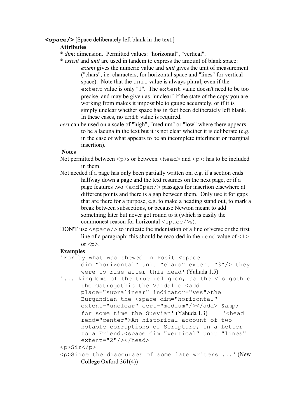## **<space/>** [Space deliberately left blank in the text.]

## **Attributes**

- \* *dim*: dimension. Permitted values: "horizontal", "vertical".
- \* *extent* and *unit* are used in tandem to express the amount of blank space: *extent* gives the numeric value and *unit* gives the unit of measurement ("chars", i.e. characters, for horizontal space and "lines" for vertical space). Note that the unit value is always plural, even if the extent value is only "1". The extent value doesn't need to be too precise, and may be given as "unclear" if the state of the copy you are working from makes it impossible to gauge accurately, or if it is simply unclear whether space has in fact been deliberately left blank. In these cases, no unit value is required.
- *cert* can be used on a scale of "high", "medium" or "low" where there appears to be a lacuna in the text but it is not clear whether it is deliberate (e.g. in the case of what appears to be an incomplete interlinear or marginal insertion).

### **Notes**

- Not permitted between  $\langle p \rangle$ s or between  $\langle head \rangle$  and  $\langle p \rangle$ : has to be included in them.
- Not needed if a page has only been partially written on, e.g. if a section ends halfway down a page and the text resumes on the next page, or if a page features two  $\langle \text{addSpan}/\rangle$  passages for insertion elsewhere at different points and there is a gap between them. Only use it for gaps that are there for a purpose, e.g. to make a heading stand out, to mark a break between subsections, or because Newton meant to add something later but never got round to it (which is easily the commonest reason for horizontal  $\langle sp_{a}c \rangle > s$ .
- DON'T use  $\langle$ space $\rangle$  to indicate the indentation of a line of verse or the first line of a paragraph: this should be recorded in the rend value of  $\langle 1 \rangle$ or  $\langle n \rangle$

#### **Examples**

- 'For by what was shewed in Posit <space dim="horizontal" unit="chars" extent="3"/> they were to rise after this head' (Yahuda 1.5)
- '... kingdoms of the true religion, as the Visigothic the Ostrogothic the Vandalic <add place="supralinear" indicator="yes">the Burgundian the <space dim="horizontal" extent="unclear" cert="medium"/></add> &amp; for some time the Suevian' (Yahuda 1.3) '<head rend="center">An historical account of two notable corruptions of Scripture, in a Letter to a Friend.<space dim="vertical" unit="lines" extent="2"/></head>

```
 <p>Sir</p>
```
 <p>Since the discourses of some late writers ...' (New College Oxford 361(4))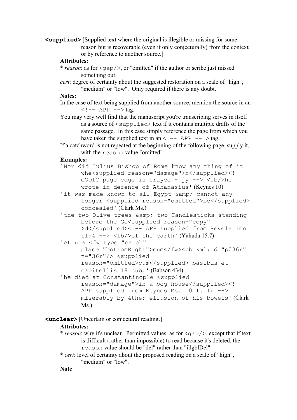**<supplied>** [Supplied text where the original is illegible or missing for some reason but is recoverable (even if only conjecturally) from the context or by reference to another source.]

## **Attributes:**

 \* *reason*: as for <gap/>, or "omitted" if the author or scribe just missed something out.

 *cert*: degree of certainty about the suggested restoration on a scale of "high", "medium" or "low". Only required if there is any doubt.

## **Notes:**

- In the case of text being supplied from another source, mention the source in an  $\langle$ !-- APP --> tag.
- You may very well find that the manuscript you're transcribing serves in itself as a source of <supplied> text if it contains multiple drafts of the same passage. In this case simply reference the page from which you have taken the supplied text in an  $\leq$  ! -- APP -- > tag.
- If a catchword is not repeated at the beginning of the following page, supply it, with the reason value "omitted".

### **Examples:**

- 'Nor did Iulius Bishop of Rome know any thing of it whe<supplied reason="damage">n</supplied><!-- CODIC page edge is frayed -  $\gamma y \rightarrow \langle \frac{1}{b} \rangle$ he wrote in defence of Athanasius' (Keynes 10)
- 'it was made known to all Egypt & amp; cannot any longer <supplied reason="omitted">be</supplied> concealed' (Clark Ms.)
- 'the two Olive trees & amp; two Candlesticks standing before the Go<supplied reason="copy" >d</supplied><!-- APP supplied from Revelation 11:4  $\leftarrow$  > <1b/>>b/>of the earth' (Yahuda 15.7)
- 'et una <fw type="catch"

place="bottomRight">cum</fw><pb xml:id="p036r" n="36r"/> <supplied reason="omitted>cum</supplied> basibus et

- capitellis 18 cub.' (Babson 434)
- 'he died at Constantinople <supplied reason="damage">in a bog-house</supplied><!--APP supplied from Keynes Ms. 10 f. 1r --> miserably by &the; effusion of his bowels' (Clark Ms.)

## **<unclear>** [Uncertain or conjectural reading.]

## **Attributes:**

- \* *reason*: why it's unclear. Permitted values: as for <gap/>, except that if text is difficult (rather than impossible) to read because it's deleted, the reason value should be "del" rather than "illgblDel".
- \* *cert*: level of certainty about the proposed reading on a scale of "high", "medium" or "low".

**Note**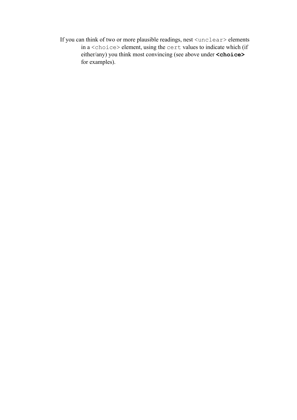If you can think of two or more plausible readings, nest <unclear> elements in a <choice> element, using the cert values to indicate which (if either/any) you think most convincing (see above under **<choice>** for examples).